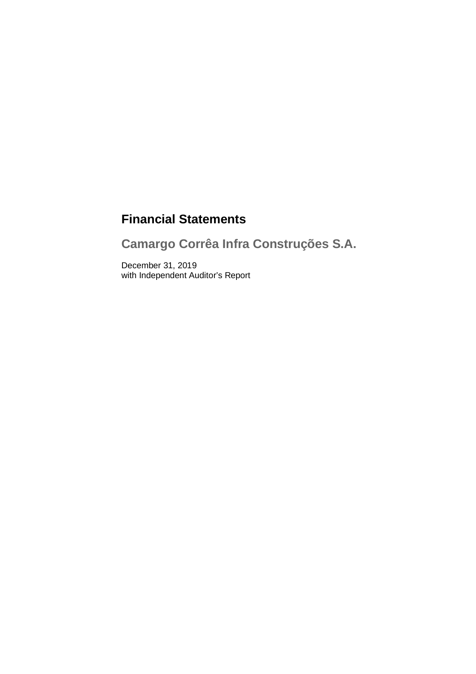# **Financial Statements**

**Camargo Corrêa Infra Construções S.A.**

December 31, 2019 with Independent Auditor's Report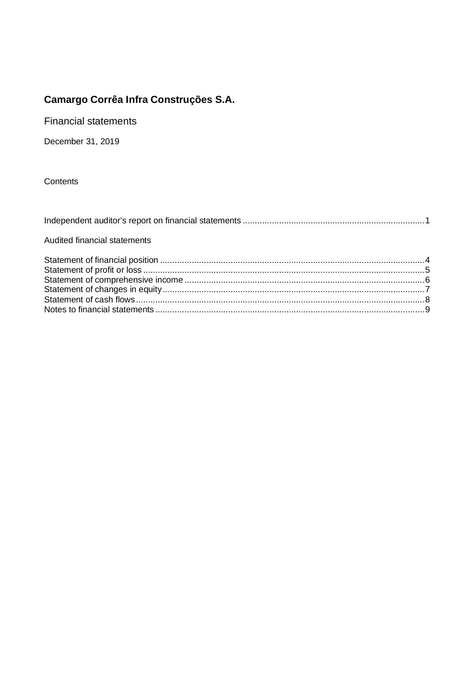**Financial statements** 

December 31, 2019

Contents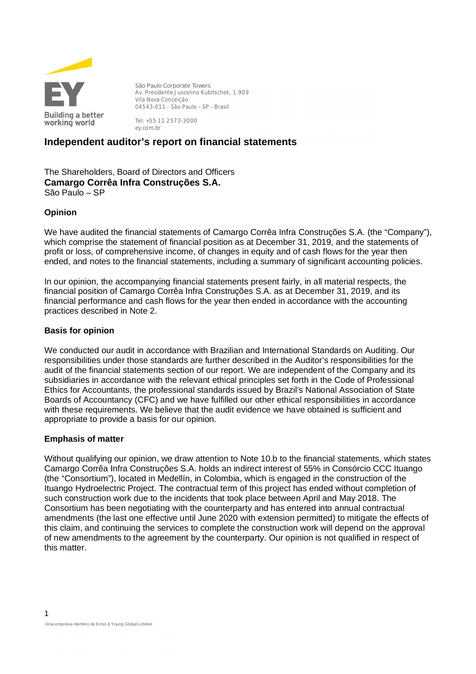

**São Paulo Corporate Towers** Av. Presidente Juscelino Kubitschek, 1.909 Vila Nova Conceição 04543-011 - São Paulo – SP - Brasil

Tel: +55 11 2573-3000 ey.com.br

## **Independent auditor's report on financial statements**

The Shareholders, Board of Directors and Officers **Camargo Corrêa Infra Construções S.A.** São Paulo – SP

### **Opinion**

We have audited the financial statements of Camargo Corrêa Infra Construções S.A. (the "Company"), which comprise the statement of financial position as at December 31, 2019, and the statements of profit or loss, of comprehensive income, of changes in equity and of cash flows for the year then ended, and notes to the financial statements, including a summary of significant accounting policies.

In our opinion, the accompanying financial statements present fairly, in all material respects, the financial position of Camargo Corrêa Infra Construções S.A. as at December 31, 2019, and its financial performance and cash flows for the year then ended in accordance with the accounting practices described in Note 2.

### **Basis for opinion**

We conducted our audit in accordance with Brazilian and International Standards on Auditing. Our responsibilities under those standards are further described in the Auditor's responsibilities for the audit of the financial statements section of our report. We are independent of the Company and its subsidiaries in accordance with the relevant ethical principles set forth in the Code of Professional Ethics for Accountants, the professional standards issued by Brazil's National Association of State Boards of Accountancy (CFC) and we have fulfilled our other ethical responsibilities in accordance with these requirements. We believe that the audit evidence we have obtained is sufficient and appropriate to provide a basis for our opinion.

### **Emphasis of matter**

Without qualifying our opinion, we draw attention to Note 10.b to the financial statements, which states Camargo Corrêa Infra Construções S.A. holds an indirect interest of 55% in Consórcio CCC Ituango (the "Consortium"), located in Medellín, in Colombia, which is engaged in the construction of the Ituango Hydroelectric Project. The contractual term of this project has ended without completion of such construction work due to the incidents that took place between April and May 2018. The Consortium has been negotiating with the counterparty and has entered into annual contractual amendments (the last one effective until June 2020 with extension permitted) to mitigate the effects of this claim, and continuing the services to complete the construction work will depend on the approval of new amendments to the agreement by the counterparty. Our opinion is not qualified in respect of this matter.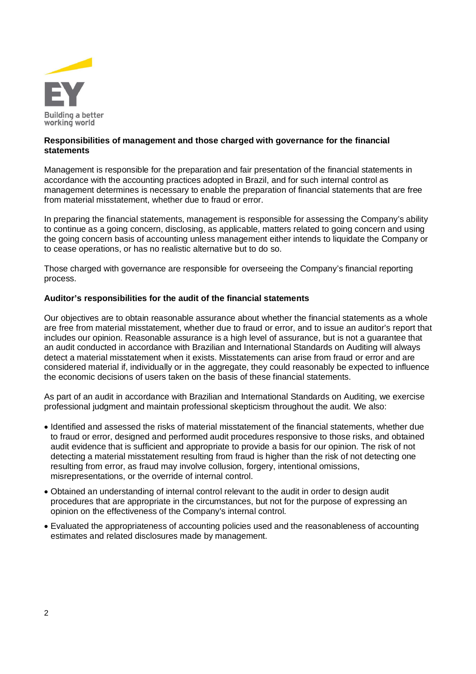

### **Responsibilities of management and those charged with governance for the financial statements**

Management is responsible for the preparation and fair presentation of the financial statements in accordance with the accounting practices adopted in Brazil, and for such internal control as management determines is necessary to enable the preparation of financial statements that are free from material misstatement, whether due to fraud or error.

In preparing the financial statements, management is responsible for assessing the Company's ability to continue as a going concern, disclosing, as applicable, matters related to going concern and using the going concern basis of accounting unless management either intends to liquidate the Company or to cease operations, or has no realistic alternative but to do so.

Those charged with governance are responsible for overseeing the Company's financial reporting process.

### **Auditor's responsibilities for the audit of the financial statements**

Our objectives are to obtain reasonable assurance about whether the financial statements as a whole are free from material misstatement, whether due to fraud or error, and to issue an auditor's report that includes our opinion. Reasonable assurance is a high level of assurance, but is not a guarantee that an audit conducted in accordance with Brazilian and International Standards on Auditing will always detect a material misstatement when it exists. Misstatements can arise from fraud or error and are considered material if, individually or in the aggregate, they could reasonably be expected to influence the economic decisions of users taken on the basis of these financial statements.

As part of an audit in accordance with Brazilian and International Standards on Auditing, we exercise professional judgment and maintain professional skepticism throughout the audit. We also:

- · Identified and assessed the risks of material misstatement of the financial statements, whether due to fraud or error, designed and performed audit procedures responsive to those risks, and obtained audit evidence that is sufficient and appropriate to provide a basis for our opinion. The risk of not detecting a material misstatement resulting from fraud is higher than the risk of not detecting one resulting from error, as fraud may involve collusion, forgery, intentional omissions, misrepresentations, or the override of internal control.
- · Obtained an understanding of internal control relevant to the audit in order to design audit procedures that are appropriate in the circumstances, but not for the purpose of expressing an opinion on the effectiveness of the Company's internal control.
- · Evaluated the appropriateness of accounting policies used and the reasonableness of accounting estimates and related disclosures made by management.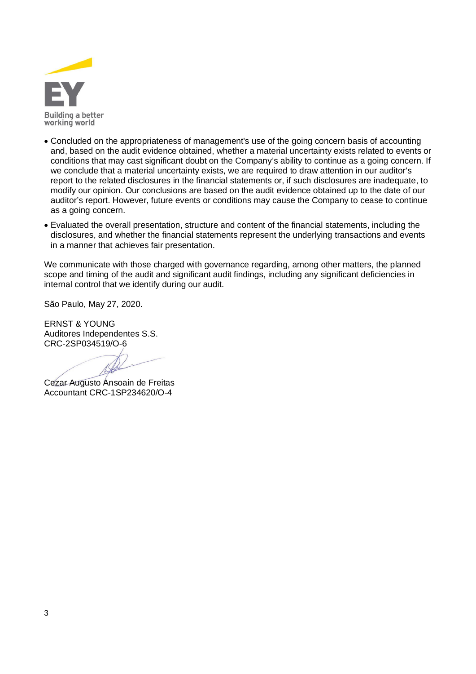

- · Concluded on the appropriateness of management's use of the going concern basis of accounting and, based on the audit evidence obtained, whether a material uncertainty exists related to events or conditions that may cast significant doubt on the Company's ability to continue as a going concern. If we conclude that a material uncertainty exists, we are required to draw attention in our auditor's report to the related disclosures in the financial statements or, if such disclosures are inadequate, to modify our opinion. Our conclusions are based on the audit evidence obtained up to the date of our auditor's report. However, future events or conditions may cause the Company to cease to continue as a going concern.
- · Evaluated the overall presentation, structure and content of the financial statements, including the disclosures, and whether the financial statements represent the underlying transactions and events in a manner that achieves fair presentation.

We communicate with those charged with governance regarding, among other matters, the planned scope and timing of the audit and significant audit findings, including any significant deficiencies in internal control that we identify during our audit.

São Paulo, May 27, 2020.

ERNST & YOUNG Auditores Independentes S.S. CRC-2SP034519/O-6

Cezar Augusto Ansoain de Freitas Accountant CRC-1SP234620/O-4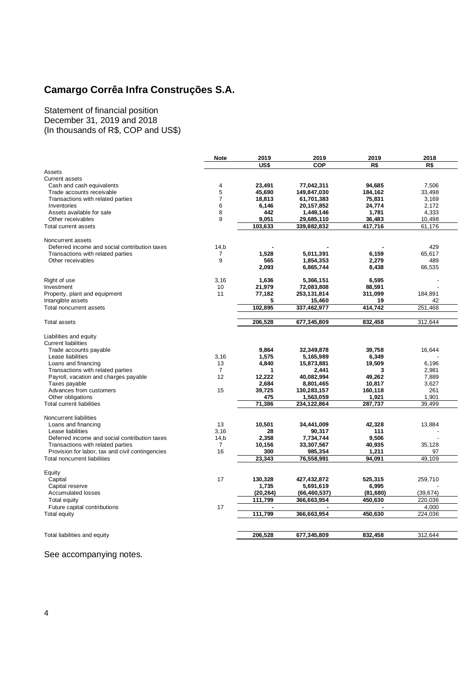Statement of financial position December 31, 2019 and 2018 (In thousands of R\$, COP and US\$)

|                                                  | <b>Note</b>            | 2019      | 2019           | 2019      | 2018      |
|--------------------------------------------------|------------------------|-----------|----------------|-----------|-----------|
|                                                  |                        | US\$      | COP            | R\$       | R\$       |
| Assets                                           |                        |           |                |           |           |
| <b>Current assets</b>                            |                        |           |                |           |           |
| Cash and cash equivalents                        | 4                      | 23,491    | 77,042,311     | 94,685    | 7,506     |
| Trade accounts receivable                        | 5                      | 45.690    | 149.847.030    | 184.162   | 33,498    |
| Transactions with related parties                | $\overline{7}$         | 18,813    | 61,701,383     | 75,831    | 3,169     |
| Inventories                                      | 6                      | 6,146     | 20,157,852     | 24,774    | 2,172     |
| Assets available for sale                        | 8                      | 442       | 1,449,146      | 1,781     | 4,333     |
| Other receivables                                | 9                      | 9,051     | 29,685,110     | 36,483    | 10,498    |
| Total current assets                             |                        | 103,633   | 339,882,832    | 417,716   | 61,176    |
| Noncurrent assets                                |                        |           |                |           |           |
| Deferred income and social contribution taxes    |                        |           |                |           | 429       |
| Transactions with related parties                | 14,b<br>$\overline{7}$ | 1,528     | 5,011,391      | 6,159     | 65,617    |
| Other receivables                                | 9                      | 565       | 1,854,353      | 2,279     | 489       |
|                                                  |                        | 2,093     | 6,865,744      | 8,438     | 66,535    |
|                                                  |                        |           |                |           |           |
| Right of use                                     | 3.16                   | 1.636     | 5,366,151      | 6.595     |           |
| Investment                                       | 10                     | 21,979    | 72,083,808     | 88,591    |           |
| Property, plant and equipment                    | 11                     | 77,182    | 253,131,814    | 311,099   | 184,891   |
| Intangible assets                                |                        | 5         | 15,460         | 19        | 42        |
| Total noncurrent assets                          |                        | 102,895   | 337,462,977    | 414,742   | 251,468   |
|                                                  |                        |           |                |           |           |
| Total assets                                     |                        | 206,528   | 677,345,809    | 832,458   | 312,644   |
| Liabilities and equity                           |                        |           |                |           |           |
| <b>Current liabilities</b>                       |                        |           |                |           |           |
| Trade accounts payable                           |                        | 9,864     | 32,349,878     | 39,758    | 16,644    |
| Lease liabilities                                | 3,16                   | 1,575     | 5,165,989      | 6,349     |           |
| Loans and financing                              | 13                     | 4,840     | 15,873,881     | 19,509    | 6.196     |
| Transactions with related parties                | $\overline{7}$         | 1         | 2,441          | 3         | 2,981     |
| Payroll, vacation and charges payable            | 12                     | 12,222    | 40,082,994     | 49,262    | 7,889     |
| Taxes payable                                    |                        | 2.684     | 8,801,465      | 10.817    | 3,627     |
| Advances from customers                          | 15                     | 39,725    | 130,283,157    | 160,118   | 261       |
| Other obligations                                |                        | 475       | 1,563,059      | 1,921     | 1,901     |
| <b>Total current liabilities</b>                 |                        | 71,386    | 234,122,864    | 287,737   | 39.499    |
|                                                  |                        |           |                |           |           |
| Noncurrent liabilities                           |                        |           |                |           |           |
| Loans and financing                              | 13                     | 10,501    | 34,441,009     | 42,328    | 13,884    |
| Lease liabilities                                | 3.16                   | 28        | 90,317         | 111       |           |
| Deferred income and social contribution taxes    | 14,b                   | 2,358     | 7,734,744      | 9,506     |           |
| Transactions with related parties                | 7                      | 10,156    | 33,307,567     | 40,935    | 35,128    |
| Provision for labor, tax and civil contingencies | 16                     | 300       | 985,354        | 1,211     | 97        |
| Total noncurrent liabilities                     |                        | 23,343    | 76,558,991     | 94,091    | 49,109    |
| Equity                                           |                        |           |                |           |           |
| Capital                                          | 17                     | 130,328   | 427,432,872    | 525,315   | 259.710   |
| Capital reserve                                  |                        | 1,735     | 5,691,619      | 6,995     |           |
| <b>Accumulated losses</b>                        |                        | (20, 264) | (66, 460, 537) | (81, 680) | (39, 674) |
| Total equity                                     |                        | 111,799   | 366,663,954    | 450,630   | 220,036   |
| Future capital contributions                     | 17                     | ä,        |                |           | 4.000     |
| Total equity                                     |                        | 111,799   | 366,663,954    | 450,630   | 224,036   |
|                                                  |                        |           |                |           |           |
|                                                  |                        |           |                |           |           |
| Total liabilities and equity                     |                        | 206,528   | 677,345,809    | 832,458   | 312.644   |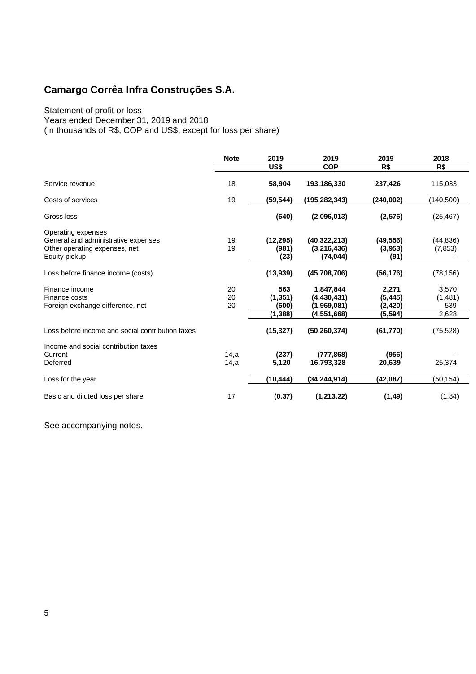### Statement of profit or loss

Years ended December 31, 2019 and 2018

(In thousands of R\$, COP and US\$, except for loss per share)

|                                                                                                             | <b>Note</b>    | 2019                       | 2019                                       | 2019                          | 2018                    |
|-------------------------------------------------------------------------------------------------------------|----------------|----------------------------|--------------------------------------------|-------------------------------|-------------------------|
|                                                                                                             |                | US\$                       | <b>COP</b>                                 | R\$                           | R\$                     |
| Service revenue                                                                                             | 18             | 58,904                     | 193,186,330                                | 237,426                       | 115,033                 |
| Costs of services                                                                                           | 19             | (59, 544)                  | (195, 282, 343)                            | (240,002)                     | (140, 500)              |
| Gross loss                                                                                                  |                | (640)                      | (2,096,013)                                | (2,576)                       | (25, 467)               |
| Operating expenses<br>General and administrative expenses<br>Other operating expenses, net<br>Equity pickup | 19<br>19       | (12, 295)<br>(981)<br>(23) | (40, 322, 213)<br>(3,216,436)<br>(74, 044) | (49, 556)<br>(3,953)<br>(91)  | (44, 836)<br>(7, 853)   |
| Loss before finance income (costs)                                                                          |                | (13,939)                   | (45,708,706)                               | (56, 176)                     | (78, 156)               |
| Finance income<br>Finance costs<br>Foreign exchange difference, net                                         | 20<br>20<br>20 | 563<br>(1, 351)<br>(600)   | 1,847,844<br>(4,430,431)<br>(1,969,081)    | 2,271<br>(5, 445)<br>(2, 420) | 3,570<br>(1,481)<br>539 |
|                                                                                                             |                | (1,388)                    | (4,551,668)                                | (5, 594)                      | 2,628                   |
| Loss before income and social contribution taxes                                                            |                | (15, 327)                  | (50, 260, 374)                             | (61, 770)                     | (75, 528)               |
| Income and social contribution taxes<br>Current<br>Deferred                                                 | 14,a<br>14,a   | (237)<br>5.120             | (777, 868)<br>16,793,328                   | (956)<br>20,639               | 25,374                  |
| Loss for the year                                                                                           |                | (10, 444)                  | (34,244,914)                               | (42,087)                      | (50, 154)               |
| Basic and diluted loss per share                                                                            | 17             | (0.37)                     | (1,213.22)                                 | (1, 49)                       | (1, 84)                 |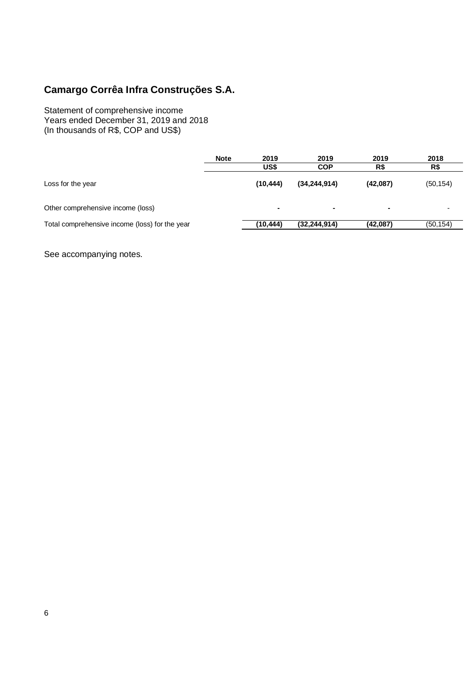Statement of comprehensive income Years ended December 31, 2019 and 2018 (In thousands of R\$, COP and US\$)

|                                                | <b>Note</b> | 2019<br>US\$   | 2019<br><b>COP</b> | 2019<br>R\$    | 2018<br>R\$ |
|------------------------------------------------|-------------|----------------|--------------------|----------------|-------------|
| Loss for the year                              |             | (10, 444)      | (34, 244, 914)     | (42,087)       | (50, 154)   |
| Other comprehensive income (loss)              |             | $\blacksquare$ | ж.                 | $\blacksquare$ |             |
| Total comprehensive income (loss) for the year |             | (10,444)       | (32, 244, 914)     | (42,087)       | (50, 154)   |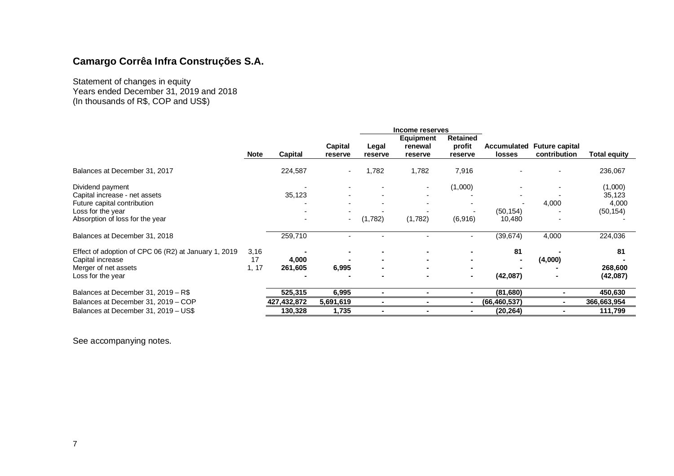Statement of changes in equity Years ended December 31, 2019 and 2018 (In thousands of R\$, COP and US\$)

|                                                      |             |             |           |         | Income reserves      |                    |                |                       |              |
|------------------------------------------------------|-------------|-------------|-----------|---------|----------------------|--------------------|----------------|-----------------------|--------------|
|                                                      |             |             | Capital   | Legal   | Equipment<br>renewal | Retained<br>profit | Accumulated    | <b>Future capital</b> |              |
|                                                      | <b>Note</b> | Capital     | reserve   | reserve | reserve              | reserve            | <b>losses</b>  | contribution          | Total equity |
| Balances at December 31, 2017                        |             | 224,587     | $\sim$    | 1,782   | 1,782                | 7,916              |                |                       | 236,067      |
| Dividend payment                                     |             |             |           |         |                      | (1,000)            |                |                       | (1,000)      |
| Capital increase - net assets                        |             | 35,123      |           |         |                      |                    |                |                       | 35,123       |
| Future capital contribution                          |             |             |           |         |                      |                    |                | 4,000                 | 4,000        |
| Loss for the year                                    |             |             |           |         |                      |                    | (50, 154)      |                       | (50, 154)    |
| Absorption of loss for the year                      |             |             | $\sim$    | (1,782) | (1,782)              | (6,916)            | 10,480         |                       |              |
| Balances at December 31, 2018                        |             | 259,710     |           |         |                      |                    | (39, 674)      | 4,000                 | 224,036      |
| Effect of adoption of CPC 06 (R2) at January 1, 2019 | 3,16        |             |           |         |                      |                    | 81             |                       | 81           |
| Capital increase                                     | 17          | 4,000       |           |         |                      |                    |                | (4,000)               |              |
| Merger of net assets                                 | 1, 17       | 261,605     | 6,995     |         |                      |                    |                |                       | 268,600      |
| Loss for the year                                    |             |             |           |         |                      |                    | (42,087)       |                       | (42,087)     |
| Balances at December 31, 2019 - R\$                  |             | 525,315     | 6,995     |         |                      |                    | (81, 680)      |                       | 450,630      |
| Balances at December 31, 2019 - COP                  |             | 427,432,872 | 5,691,619 |         |                      |                    | (66, 460, 537) |                       | 366,663,954  |
| Balances at December 31, 2019 - US\$                 |             | 130,328     | 1,735     |         |                      |                    | (20, 264)      |                       | 111,799      |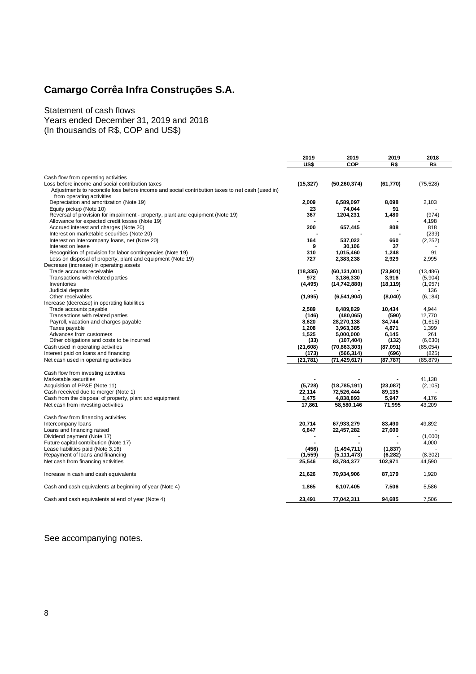Statement of cash flows Years ended December 31, 2019 and 2018 (In thousands of R\$, COP and US\$)

|                                                                                                           | 2019           | 2019                    | 2019            | 2018             |
|-----------------------------------------------------------------------------------------------------------|----------------|-------------------------|-----------------|------------------|
|                                                                                                           | US\$           | COP                     | R\$             | R\$              |
|                                                                                                           |                |                         |                 |                  |
| Cash flow from operating activities                                                                       |                |                         |                 |                  |
| Loss before income and social contribution taxes                                                          | (15, 327)      | (50, 260, 374)          | (61, 770)       | (75, 528)        |
| Adjustments to reconcile loss before income and social contribution taxes to net cash (used in)           |                |                         |                 |                  |
| from operating activities                                                                                 |                |                         |                 |                  |
| Depreciation and amortization (Note 19)                                                                   | 2,009          | 6,589,097<br>74,044     | 8,098<br>91     | 2,103            |
| Equity pickup (Note 10)<br>Reversal of provision for impairment - property, plant and equipment (Note 19) | 23<br>367      | 1204,231                | 1,480           | (974)            |
| Allowance for expected credit losses (Note 19)                                                            |                |                         |                 | 4,198            |
| Accrued interest and charges (Note 20)                                                                    | 200            | 657,445                 | 808             | 818              |
| Interest on marketable securities (Note 20)                                                               |                |                         |                 | (239)            |
| Interest on intercompany loans, net (Note 20)                                                             | 164            | 537,022                 | 660             | (2, 252)         |
| Interest on lease                                                                                         | 9              | 30,106                  | 37              |                  |
| Recognition of provision for labor contingencies (Note 19)                                                | 310            | 1,015,460               | 1.248           | 91               |
| Loss on disposal of property, plant and equipment (Note 19)                                               | 727            | 2,383,238               | 2,929           | 2,995            |
| Decrease (increase) in operating assets                                                                   |                |                         |                 |                  |
| Trade accounts receivable                                                                                 | (18, 335)      | (60, 131, 001)          | (73,901)        | (13, 486)        |
| Transactions with related parties                                                                         | 972            | 3,186,330               | 3,916           | (5,904)          |
| Inventories                                                                                               | (4, 495)       | (14, 742, 880)          | (18, 119)       | (1, 957)         |
| Judicial deposits                                                                                         |                |                         |                 | 136              |
| Other receivables                                                                                         | (1,995)        | (6,541,904)             | (8,040)         | (6, 184)         |
| Increase (decrease) in operating liabilities                                                              |                |                         |                 |                  |
| Trade accounts payable                                                                                    | 2,589          | 8,489,829               | 10,434          | 4,944            |
| Transactions with related parties                                                                         | (146)          | (480,065)               | (590)           | 12,770           |
| Payroll, vacation and charges payable<br>Taxes payable                                                    | 8,620<br>1,208 | 28,270,138<br>3,963,385 | 34,744<br>4,871 | (1,615)<br>1,399 |
| Advances from customers                                                                                   | 1,525          | 5,000,000               | 6,145           | 261              |
| Other obligations and costs to be incurred                                                                | (33)           | (107, 404)              | (132)           | (6,630)          |
| Cash used in operating activities                                                                         | (21,608)       | (70, 863, 303)          | (87,091)        | (85,054)         |
| Interest paid on loans and financing                                                                      | (173)          | (566, 314)              | (696)           | (825)            |
| Net cash used in operating activities                                                                     | (21, 781)      | (71, 429, 617)          | (87, 787)       | (85, 879)        |
|                                                                                                           |                |                         |                 |                  |
| Cash flow from investing activities                                                                       |                |                         |                 |                  |
| Marketable securities                                                                                     |                |                         |                 | 41.138           |
| Acquisition of PP&E (Note 11)                                                                             | (5,728)        | (18, 785, 191)          | (23,087)        | (2, 105)         |
| Cash received due to merger (Note 1)                                                                      | 22,114         | 72,526,444              | 89,135          |                  |
| Cash from the disposal of property, plant and equipment                                                   | 1,475          | 4,838,893               | 5,947           | 4,176            |
| Net cash from investing activities                                                                        | 17,861         | 58,580,146              | 71,995          | 43,209           |
| Cash flow from financing activities                                                                       |                |                         |                 |                  |
| Intercompany loans                                                                                        | 20,714         | 67,933,279              | 83,490          | 49,892           |
| Loans and financing raised                                                                                | 6,847          | 22,457,282              | 27,600          |                  |
| Dividend payment (Note 17)                                                                                |                |                         |                 | (1,000)          |
| Future capital contribution (Note 17)                                                                     |                |                         |                 | 4,000            |
| Lease liabilities paid (Note 3,16)                                                                        | (456)          | (1,494,711)             | (1,837)         |                  |
| Repayment of loans and financing                                                                          | (1, 559)       | (5, 111, 473)           | (6, 282)        | (8, 302)         |
| Net cash from financing activities                                                                        | 25,546         | 83,784,377              | 102,971         | 44,590           |
|                                                                                                           |                |                         |                 |                  |
| Increase in cash and cash equivalents                                                                     | 21,626         | 70,934,906              | 87,179          | 1,920            |
|                                                                                                           |                |                         |                 |                  |
| Cash and cash equivalents at beginning of year (Note 4)                                                   | 1,865          | 6,107,405               | 7,506           | 5,586            |
| Cash and cash equivalents at end of year (Note 4)                                                         | 23.491         | 77,042,311              | 94,685          | 7,506            |
|                                                                                                           |                |                         |                 |                  |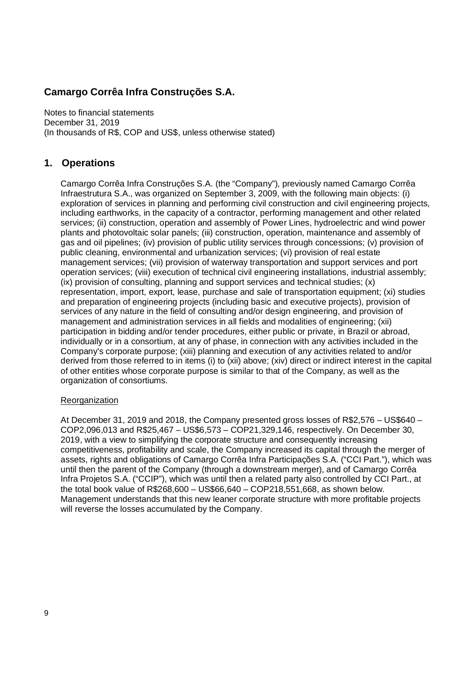Notes to financial statements December 31, 2019 (In thousands of R\$, COP and US\$, unless otherwise stated)

## **1. Operations**

Camargo Corrêa Infra Construções S.A. (the "Company"), previously named Camargo Corrêa Infraestrutura S.A., was organized on September 3, 2009, with the following main objects: (i) exploration of services in planning and performing civil construction and civil engineering projects, including earthworks, in the capacity of a contractor, performing management and other related services; (ii) construction, operation and assembly of Power Lines, hydroelectric and wind power plants and photovoltaic solar panels; (iii) construction, operation, maintenance and assembly of gas and oil pipelines; (iv) provision of public utility services through concessions; (v) provision of public cleaning, environmental and urbanization services; (vi) provision of real estate management services; (vii) provision of waterway transportation and support services and port operation services; (viii) execution of technical civil engineering installations, industrial assembly; (ix) provision of consulting, planning and support services and technical studies; (x) representation, import, export, lease, purchase and sale of transportation equipment; (xi) studies and preparation of engineering projects (including basic and executive projects), provision of services of any nature in the field of consulting and/or design engineering, and provision of management and administration services in all fields and modalities of engineering; (xii) participation in bidding and/or tender procedures, either public or private, in Brazil or abroad, individually or in a consortium, at any of phase, in connection with any activities included in the Company's corporate purpose; (xiii) planning and execution of any activities related to and/or derived from those referred to in items (i) to (xii) above; (xiv) direct or indirect interest in the capital of other entities whose corporate purpose is similar to that of the Company, as well as the organization of consortiums.

### **Reorganization**

At December 31, 2019 and 2018, the Company presented gross losses of R\$2,576 – US\$640 – COP2,096,013 and R\$25,467 – US\$6,573 – COP21,329,146, respectively. On December 30, 2019, with a view to simplifying the corporate structure and consequently increasing competitiveness, profitability and scale, the Company increased its capital through the merger of assets, rights and obligations of Camargo Corrêa Infra Participações S.A. ("CCI Part."), which was until then the parent of the Company (through a downstream merger), and of Camargo Corrêa Infra Projetos S.A. ("CCIP"), which was until then a related party also controlled by CCI Part., at the total book value of R\$268,600 – US\$66,640 – COP218,551,668, as shown below. Management understands that this new leaner corporate structure with more profitable projects will reverse the losses accumulated by the Company.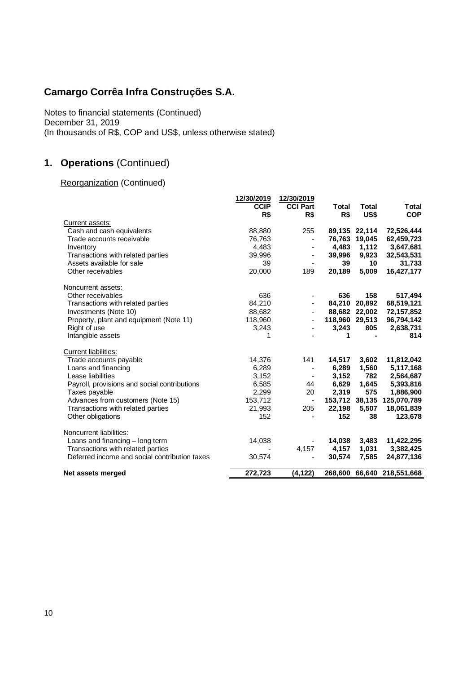Notes to financial statements (Continued) December 31, 2019 (In thousands of R\$, COP and US\$, unless otherwise stated)

## **1. Operations** (Continued)

## Reorganization (Continued)

|                                               | 12/30/2019<br><b>CCIP</b><br>R\$ | 12/30/2019<br><b>CCI Part</b><br>R\$ | Total<br>R\$   | <b>Total</b><br>US\$ | Total<br><b>COP</b>        |
|-----------------------------------------------|----------------------------------|--------------------------------------|----------------|----------------------|----------------------------|
| Current assets:                               |                                  |                                      |                |                      |                            |
| Cash and cash equivalents                     | 88,880                           | 255                                  | 89,135 22,114  |                      | 72,526,444                 |
| Trade accounts receivable                     | 76,763                           | $\overline{a}$                       |                | 76.763 19.045        | 62,459,723                 |
| Inventory                                     | 4,483                            | L,                                   | 4,483          | 1,112                | 3,647,681                  |
| Transactions with related parties             | 39,996                           | ä,                                   | 39,996         | 9,923                | 32,543,531                 |
| Assets available for sale                     | 39                               |                                      | 39             | 10                   | 31,733                     |
| Other receivables                             | 20,000                           | 189                                  | 20,189         | 5,009                | 16,427,177                 |
| Noncurrent assets:                            |                                  |                                      |                |                      |                            |
| Other receivables                             | 636                              |                                      | 636            | 158                  | 517,494                    |
| Transactions with related parties             | 84,210                           |                                      | 84,210 20,892  |                      | 68,519,121                 |
| Investments (Note 10)                         | 88,682                           |                                      | 88,682 22,002  |                      | 72,157,852                 |
| Property, plant and equipment (Note 11)       | 118,960                          |                                      | 118,960 29,513 |                      | 96,794,142                 |
| Right of use                                  | 3,243                            |                                      | 3,243          | 805                  | 2,638,731                  |
| Intangible assets                             | 1                                |                                      | 1              |                      | 814                        |
| <b>Current liabilities:</b>                   |                                  |                                      |                |                      |                            |
| Trade accounts payable                        | 14,376                           | 141                                  | 14,517         | 3,602                | 11,812,042                 |
| Loans and financing                           | 6,289                            |                                      | 6,289          | 1,560                | 5,117,168                  |
| Lease liabilities                             | 3,152                            |                                      | 3,152          | 782                  | 2,564,687                  |
| Payroll, provisions and social contributions  | 6,585                            | 44                                   | 6,629          | 1,645                | 5,393,816                  |
| Taxes payable                                 | 2,299                            | 20                                   | 2,319          | 575                  | 1,886,900                  |
| Advances from customers (Note 15)             | 153,712                          | $\overline{\phantom{a}}$             | 153,712 38,135 |                      | 125,070,789                |
| Transactions with related parties             | 21,993                           | 205                                  | 22,198         | 5,507                | 18,061,839                 |
| Other obligations                             | 152                              |                                      | 152            | 38                   | 123,678                    |
| Noncurrent liabilities:                       |                                  |                                      |                |                      |                            |
| Loans and financing - long term               | 14,038                           |                                      | 14,038         | 3,483                | 11,422,295                 |
| Transactions with related parties             |                                  | 4,157                                | 4,157          | 1,031                | 3,382,425                  |
| Deferred income and social contribution taxes | 30,574                           |                                      | 30,574         | 7,585                | 24,877,136                 |
| Net assets merged                             | 272,723                          | (4, 122)                             |                |                      | 268,600 66,640 218,551,668 |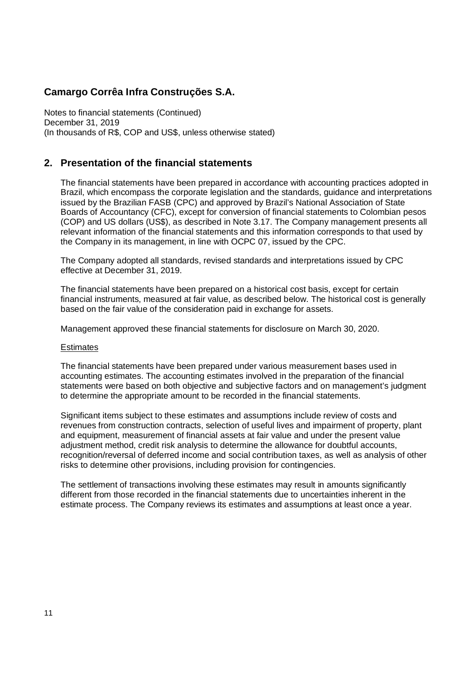Notes to financial statements (Continued) December 31, 2019 (In thousands of R\$, COP and US\$, unless otherwise stated)

## **2. Presentation of the financial statements**

The financial statements have been prepared in accordance with accounting practices adopted in Brazil, which encompass the corporate legislation and the standards, guidance and interpretations issued by the Brazilian FASB (CPC) and approved by Brazil's National Association of State Boards of Accountancy (CFC), except for conversion of financial statements to Colombian pesos (COP) and US dollars (US\$), as described in Note 3.17. The Company management presents all relevant information of the financial statements and this information corresponds to that used by the Company in its management, in line with OCPC 07, issued by the CPC.

The Company adopted all standards, revised standards and interpretations issued by CPC effective at December 31, 2019.

The financial statements have been prepared on a historical cost basis, except for certain financial instruments, measured at fair value, as described below. The historical cost is generally based on the fair value of the consideration paid in exchange for assets.

Management approved these financial statements for disclosure on March 30, 2020.

#### **Estimates**

The financial statements have been prepared under various measurement bases used in accounting estimates. The accounting estimates involved in the preparation of the financial statements were based on both objective and subjective factors and on management's judgment to determine the appropriate amount to be recorded in the financial statements.

Significant items subject to these estimates and assumptions include review of costs and revenues from construction contracts, selection of useful lives and impairment of property, plant and equipment, measurement of financial assets at fair value and under the present value adjustment method, credit risk analysis to determine the allowance for doubtful accounts, recognition/reversal of deferred income and social contribution taxes, as well as analysis of other risks to determine other provisions, including provision for contingencies.

The settlement of transactions involving these estimates may result in amounts significantly different from those recorded in the financial statements due to uncertainties inherent in the estimate process. The Company reviews its estimates and assumptions at least once a year.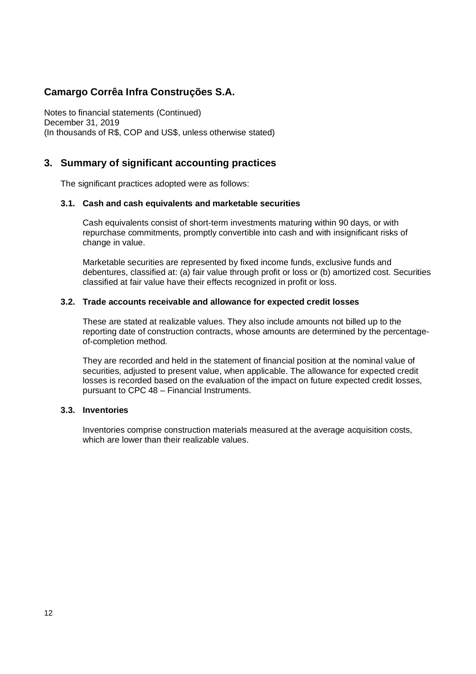Notes to financial statements (Continued) December 31, 2019 (In thousands of R\$, COP and US\$, unless otherwise stated)

## **3. Summary of significant accounting practices**

The significant practices adopted were as follows:

### **3.1. Cash and cash equivalents and marketable securities**

Cash equivalents consist of short-term investments maturing within 90 days, or with repurchase commitments, promptly convertible into cash and with insignificant risks of change in value.

Marketable securities are represented by fixed income funds, exclusive funds and debentures, classified at: (a) fair value through profit or loss or (b) amortized cost. Securities classified at fair value have their effects recognized in profit or loss.

### **3.2. Trade accounts receivable and allowance for expected credit losses**

These are stated at realizable values. They also include amounts not billed up to the reporting date of construction contracts, whose amounts are determined by the percentageof-completion method.

They are recorded and held in the statement of financial position at the nominal value of securities, adjusted to present value, when applicable. The allowance for expected credit losses is recorded based on the evaluation of the impact on future expected credit losses, pursuant to CPC 48 – Financial Instruments.

### **3.3. Inventories**

Inventories comprise construction materials measured at the average acquisition costs, which are lower than their realizable values.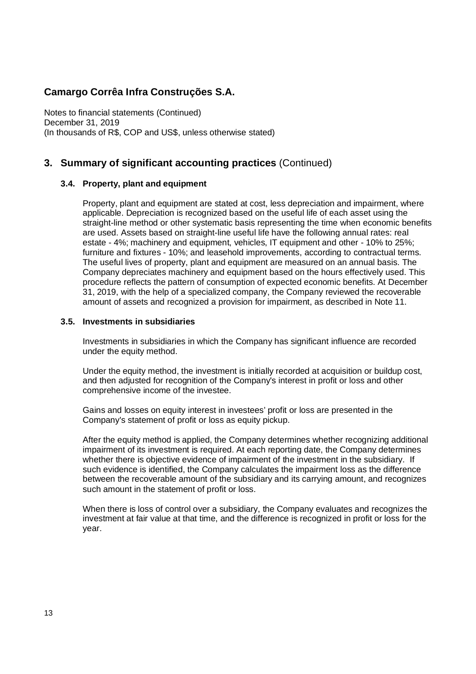Notes to financial statements (Continued) December 31, 2019 (In thousands of R\$, COP and US\$, unless otherwise stated)

## **3. Summary of significant accounting practices** (Continued)

### **3.4. Property, plant and equipment**

Property, plant and equipment are stated at cost, less depreciation and impairment, where applicable. Depreciation is recognized based on the useful life of each asset using the straight-line method or other systematic basis representing the time when economic benefits are used. Assets based on straight-line useful life have the following annual rates: real estate - 4%; machinery and equipment, vehicles, IT equipment and other - 10% to 25%; furniture and fixtures - 10%; and leasehold improvements, according to contractual terms. The useful lives of property, plant and equipment are measured on an annual basis. The Company depreciates machinery and equipment based on the hours effectively used. This procedure reflects the pattern of consumption of expected economic benefits. At December 31, 2019, with the help of a specialized company, the Company reviewed the recoverable amount of assets and recognized a provision for impairment, as described in Note 11.

### **3.5. Investments in subsidiaries**

Investments in subsidiaries in which the Company has significant influence are recorded under the equity method.

Under the equity method, the investment is initially recorded at acquisition or buildup cost, and then adjusted for recognition of the Company's interest in profit or loss and other comprehensive income of the investee.

Gains and losses on equity interest in investees' profit or loss are presented in the Company's statement of profit or loss as equity pickup.

After the equity method is applied, the Company determines whether recognizing additional impairment of its investment is required. At each reporting date, the Company determines whether there is objective evidence of impairment of the investment in the subsidiary. If such evidence is identified, the Company calculates the impairment loss as the difference between the recoverable amount of the subsidiary and its carrying amount, and recognizes such amount in the statement of profit or loss.

When there is loss of control over a subsidiary, the Company evaluates and recognizes the investment at fair value at that time, and the difference is recognized in profit or loss for the year.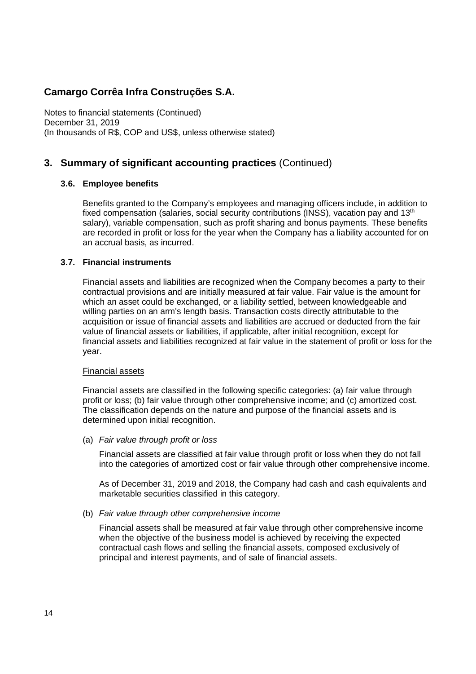Notes to financial statements (Continued) December 31, 2019 (In thousands of R\$, COP and US\$, unless otherwise stated)

## **3. Summary of significant accounting practices** (Continued)

### **3.6. Employee benefits**

Benefits granted to the Company's employees and managing officers include, in addition to fixed compensation (salaries, social security contributions (INSS), vacation pay and  $13<sup>th</sup>$ salary), variable compensation, such as profit sharing and bonus payments. These benefits are recorded in profit or loss for the year when the Company has a liability accounted for on an accrual basis, as incurred.

### **3.7. Financial instruments**

Financial assets and liabilities are recognized when the Company becomes a party to their contractual provisions and are initially measured at fair value. Fair value is the amount for which an asset could be exchanged, or a liability settled, between knowledgeable and willing parties on an arm's length basis. Transaction costs directly attributable to the acquisition or issue of financial assets and liabilities are accrued or deducted from the fair value of financial assets or liabilities, if applicable, after initial recognition, except for financial assets and liabilities recognized at fair value in the statement of profit or loss for the year.

#### Financial assets

Financial assets are classified in the following specific categories: (a) fair value through profit or loss; (b) fair value through other comprehensive income; and (c) amortized cost. The classification depends on the nature and purpose of the financial assets and is determined upon initial recognition.

(a) *Fair value through profit or loss*

Financial assets are classified at fair value through profit or loss when they do not fall into the categories of amortized cost or fair value through other comprehensive income.

As of December 31, 2019 and 2018, the Company had cash and cash equivalents and marketable securities classified in this category.

(b) *Fair value through other comprehensive income*

Financial assets shall be measured at fair value through other comprehensive income when the objective of the business model is achieved by receiving the expected contractual cash flows and selling the financial assets, composed exclusively of principal and interest payments, and of sale of financial assets.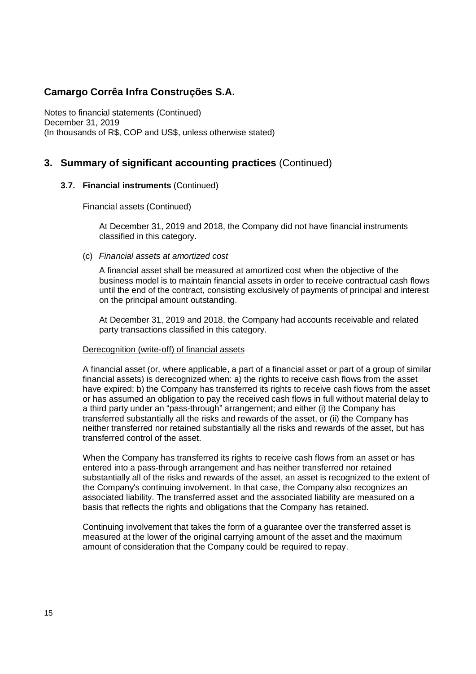Notes to financial statements (Continued) December 31, 2019 (In thousands of R\$, COP and US\$, unless otherwise stated)

## **3. Summary of significant accounting practices** (Continued)

### **3.7. Financial instruments** (Continued)

### Financial assets (Continued)

At December 31, 2019 and 2018, the Company did not have financial instruments classified in this category.

### (c) *Financial assets at amortized cost*

A financial asset shall be measured at amortized cost when the objective of the business model is to maintain financial assets in order to receive contractual cash flows until the end of the contract, consisting exclusively of payments of principal and interest on the principal amount outstanding.

At December 31, 2019 and 2018, the Company had accounts receivable and related party transactions classified in this category.

#### Derecognition (write-off) of financial assets

A financial asset (or, where applicable, a part of a financial asset or part of a group of similar financial assets) is derecognized when: a) the rights to receive cash flows from the asset have expired; b) the Company has transferred its rights to receive cash flows from the asset or has assumed an obligation to pay the received cash flows in full without material delay to a third party under an "pass-through" arrangement; and either (i) the Company has transferred substantially all the risks and rewards of the asset, or (ii) the Company has neither transferred nor retained substantially all the risks and rewards of the asset, but has transferred control of the asset.

When the Company has transferred its rights to receive cash flows from an asset or has entered into a pass-through arrangement and has neither transferred nor retained substantially all of the risks and rewards of the asset, an asset is recognized to the extent of the Company's continuing involvement. In that case, the Company also recognizes an associated liability. The transferred asset and the associated liability are measured on a basis that reflects the rights and obligations that the Company has retained.

Continuing involvement that takes the form of a guarantee over the transferred asset is measured at the lower of the original carrying amount of the asset and the maximum amount of consideration that the Company could be required to repay.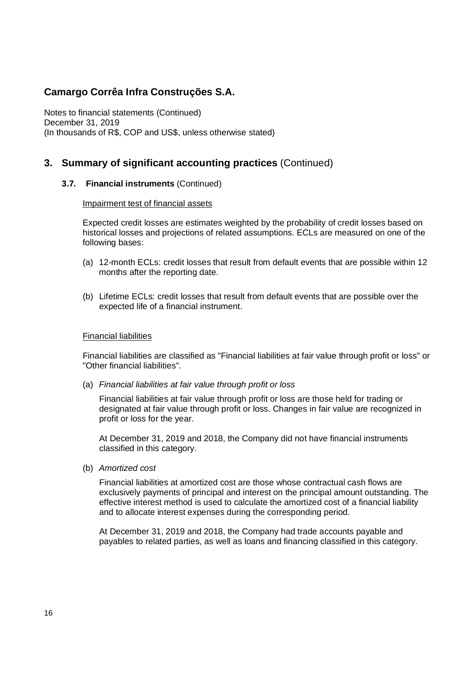Notes to financial statements (Continued) December 31, 2019 (In thousands of R\$, COP and US\$, unless otherwise stated)

## **3. Summary of significant accounting practices** (Continued)

### **3.7. Financial instruments** (Continued)

#### Impairment test of financial assets

Expected credit losses are estimates weighted by the probability of credit losses based on historical losses and projections of related assumptions. ECLs are measured on one of the following bases:

- (a) 12-month ECLs: credit losses that result from default events that are possible within 12 months after the reporting date.
- (b) Lifetime ECLs: credit losses that result from default events that are possible over the expected life of a financial instrument.

#### Financial liabilities

Financial liabilities are classified as "Financial liabilities at fair value through profit or loss" or "Other financial liabilities".

(a) *Financial liabilities at fair value through profit or loss*

Financial liabilities at fair value through profit or loss are those held for trading or designated at fair value through profit or loss. Changes in fair value are recognized in profit or loss for the year.

At December 31, 2019 and 2018, the Company did not have financial instruments classified in this category.

(b) *Amortized cost*

Financial liabilities at amortized cost are those whose contractual cash flows are exclusively payments of principal and interest on the principal amount outstanding. The effective interest method is used to calculate the amortized cost of a financial liability and to allocate interest expenses during the corresponding period.

At December 31, 2019 and 2018, the Company had trade accounts payable and payables to related parties, as well as loans and financing classified in this category.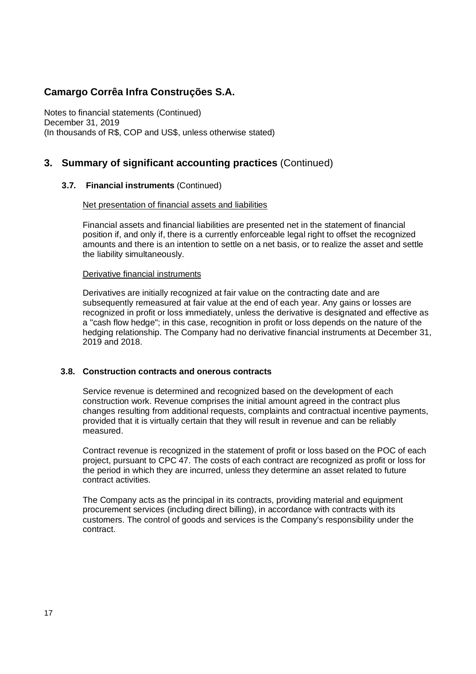Notes to financial statements (Continued) December 31, 2019 (In thousands of R\$, COP and US\$, unless otherwise stated)

## **3. Summary of significant accounting practices** (Continued)

### **3.7. Financial instruments** (Continued)

### Net presentation of financial assets and liabilities

Financial assets and financial liabilities are presented net in the statement of financial position if, and only if, there is a currently enforceable legal right to offset the recognized amounts and there is an intention to settle on a net basis, or to realize the asset and settle the liability simultaneously.

#### Derivative financial instruments

Derivatives are initially recognized at fair value on the contracting date and are subsequently remeasured at fair value at the end of each year. Any gains or losses are recognized in profit or loss immediately, unless the derivative is designated and effective as a "cash flow hedge"; in this case, recognition in profit or loss depends on the nature of the hedging relationship. The Company had no derivative financial instruments at December 31, 2019 and 2018.

### **3.8. Construction contracts and onerous contracts**

Service revenue is determined and recognized based on the development of each construction work. Revenue comprises the initial amount agreed in the contract plus changes resulting from additional requests, complaints and contractual incentive payments, provided that it is virtually certain that they will result in revenue and can be reliably measured.

Contract revenue is recognized in the statement of profit or loss based on the POC of each project, pursuant to CPC 47. The costs of each contract are recognized as profit or loss for the period in which they are incurred, unless they determine an asset related to future contract activities.

The Company acts as the principal in its contracts, providing material and equipment procurement services (including direct billing), in accordance with contracts with its customers. The control of goods and services is the Company's responsibility under the contract.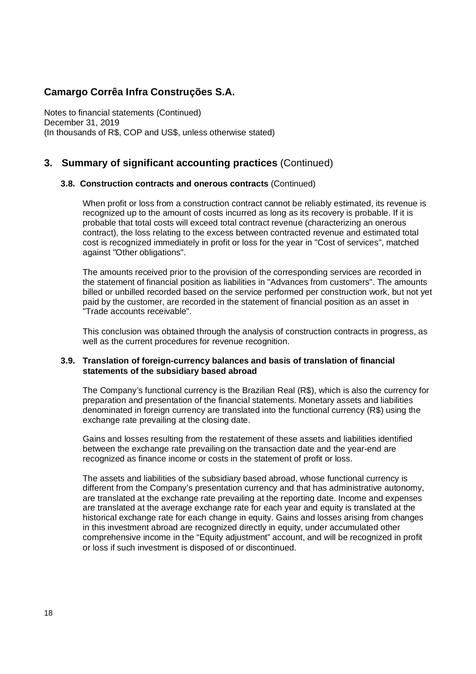Notes to financial statements (Continued) December 31, 2019 (In thousands of R\$, COP and US\$, unless otherwise stated)

## **3. Summary of significant accounting practices** (Continued)

### **3.8. Construction contracts and onerous contracts** (Continued)

When profit or loss from a construction contract cannot be reliably estimated, its revenue is recognized up to the amount of costs incurred as long as its recovery is probable. If it is probable that total costs will exceed total contract revenue (characterizing an onerous contract), the loss relating to the excess between contracted revenue and estimated total cost is recognized immediately in profit or loss for the year in "Cost of services", matched against "Other obligations".

The amounts received prior to the provision of the corresponding services are recorded in the statement of financial position as liabilities in "Advances from customers". The amounts billed or unbilled recorded based on the service performed per construction work, but not yet paid by the customer, are recorded in the statement of financial position as an asset in "Trade accounts receivable".

This conclusion was obtained through the analysis of construction contracts in progress, as well as the current procedures for revenue recognition.

#### **3.9. Translation of foreign-currency balances and basis of translation of financial statements of the subsidiary based abroad**

The Company's functional currency is the Brazilian Real (R\$), which is also the currency for preparation and presentation of the financial statements. Monetary assets and liabilities denominated in foreign currency are translated into the functional currency (R\$) using the exchange rate prevailing at the closing date.

Gains and losses resulting from the restatement of these assets and liabilities identified between the exchange rate prevailing on the transaction date and the year-end are recognized as finance income or costs in the statement of profit or loss.

The assets and liabilities of the subsidiary based abroad, whose functional currency is different from the Company's presentation currency and that has administrative autonomy, are translated at the exchange rate prevailing at the reporting date. Income and expenses are translated at the average exchange rate for each year and equity is translated at the historical exchange rate for each change in equity. Gains and losses arising from changes in this investment abroad are recognized directly in equity, under accumulated other comprehensive income in the "Equity adjustment" account, and will be recognized in profit or loss if such investment is disposed of or discontinued.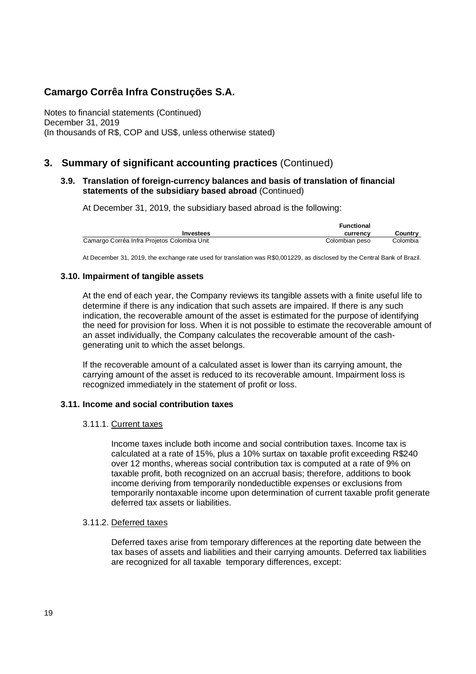Notes to financial statements (Continued) December 31, 2019 (In thousands of R\$, COP and US\$, unless otherwise stated)

## **3. Summary of significant accounting practices** (Continued)

### **3.9. Translation of foreign-currency balances and basis of translation of financial statements of the subsidiary based abroad** (Continued)

At December 31, 2019, the subsidiary based abroad is the following:

|                                             | <b>Functional</b> |          |
|---------------------------------------------|-------------------|----------|
| Investees                                   | currency          | Country  |
| Camargo Corrêa Infra Projetos Colombia Unit | Colombian peso    | Colombia |

At December 31, 2019, the exchange rate used for translation was R\$0,001229, as disclosed by the Central Bank of Brazil.

### **3.10. Impairment of tangible assets**

At the end of each year, the Company reviews its tangible assets with a finite useful life to determine if there is any indication that such assets are impaired. If there is any such indication, the recoverable amount of the asset is estimated for the purpose of identifying the need for provision for loss. When it is not possible to estimate the recoverable amount of an asset individually, the Company calculates the recoverable amount of the cashgenerating unit to which the asset belongs.

If the recoverable amount of a calculated asset is lower than its carrying amount, the carrying amount of the asset is reduced to its recoverable amount. Impairment loss is recognized immediately in the statement of profit or loss.

#### **3.11. Income and social contribution taxes**

#### 3.11.1. Current taxes

Income taxes include both income and social contribution taxes. Income tax is calculated at a rate of 15%, plus a 10% surtax on taxable profit exceeding R\$240 over 12 months, whereas social contribution tax is computed at a rate of 9% on taxable profit, both recognized on an accrual basis; therefore, additions to book income deriving from temporarily nondeductible expenses or exclusions from temporarily nontaxable income upon determination of current taxable profit generate deferred tax assets or liabilities.

#### 3.11.2. Deferred taxes

Deferred taxes arise from temporary differences at the reporting date between the tax bases of assets and liabilities and their carrying amounts. Deferred tax liabilities are recognized for all taxable temporary differences, except: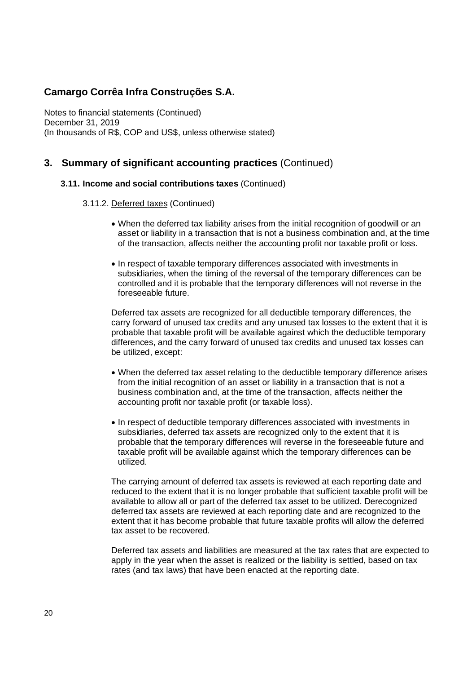Notes to financial statements (Continued) December 31, 2019 (In thousands of R\$, COP and US\$, unless otherwise stated)

### **3. Summary of significant accounting practices** (Continued)

#### **3.11. Income and social contributions taxes** (Continued)

- 3.11.2. Deferred taxes (Continued)
	- · When the deferred tax liability arises from the initial recognition of goodwill or an asset or liability in a transaction that is not a business combination and, at the time of the transaction, affects neither the accounting profit nor taxable profit or loss.
	- · In respect of taxable temporary differences associated with investments in subsidiaries, when the timing of the reversal of the temporary differences can be controlled and it is probable that the temporary differences will not reverse in the foreseeable future.

Deferred tax assets are recognized for all deductible temporary differences, the carry forward of unused tax credits and any unused tax losses to the extent that it is probable that taxable profit will be available against which the deductible temporary differences, and the carry forward of unused tax credits and unused tax losses can be utilized, except:

- · When the deferred tax asset relating to the deductible temporary difference arises from the initial recognition of an asset or liability in a transaction that is not a business combination and, at the time of the transaction, affects neither the accounting profit nor taxable profit (or taxable loss).
- · In respect of deductible temporary differences associated with investments in subsidiaries, deferred tax assets are recognized only to the extent that it is probable that the temporary differences will reverse in the foreseeable future and taxable profit will be available against which the temporary differences can be utilized.

The carrying amount of deferred tax assets is reviewed at each reporting date and reduced to the extent that it is no longer probable that sufficient taxable profit will be available to allow all or part of the deferred tax asset to be utilized. Derecognized deferred tax assets are reviewed at each reporting date and are recognized to the extent that it has become probable that future taxable profits will allow the deferred tax asset to be recovered.

Deferred tax assets and liabilities are measured at the tax rates that are expected to apply in the year when the asset is realized or the liability is settled, based on tax rates (and tax laws) that have been enacted at the reporting date.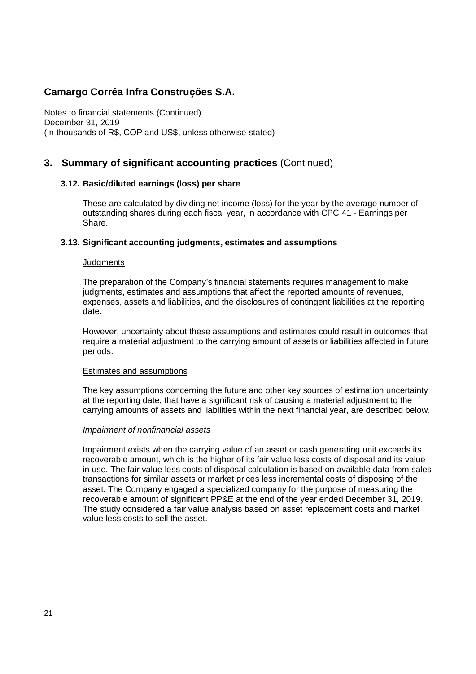Notes to financial statements (Continued) December 31, 2019 (In thousands of R\$, COP and US\$, unless otherwise stated)

### **3. Summary of significant accounting practices** (Continued)

### **3.12. Basic/diluted earnings (loss) per share**

These are calculated by dividing net income (loss) for the year by the average number of outstanding shares during each fiscal year, in accordance with CPC 41 - Earnings per Share.

### **3.13. Significant accounting judgments, estimates and assumptions**

#### **Judgments**

The preparation of the Company's financial statements requires management to make judgments, estimates and assumptions that affect the reported amounts of revenues, expenses, assets and liabilities, and the disclosures of contingent liabilities at the reporting date.

However, uncertainty about these assumptions and estimates could result in outcomes that require a material adjustment to the carrying amount of assets or liabilities affected in future periods.

#### Estimates and assumptions

The key assumptions concerning the future and other key sources of estimation uncertainty at the reporting date, that have a significant risk of causing a material adjustment to the carrying amounts of assets and liabilities within the next financial year, are described below.

#### *Impairment of nonfinancial assets*

Impairment exists when the carrying value of an asset or cash generating unit exceeds its recoverable amount, which is the higher of its fair value less costs of disposal and its value in use. The fair value less costs of disposal calculation is based on available data from sales transactions for similar assets or market prices less incremental costs of disposing of the asset. The Company engaged a specialized company for the purpose of measuring the recoverable amount of significant PP&E at the end of the year ended December 31, 2019. The study considered a fair value analysis based on asset replacement costs and market value less costs to sell the asset.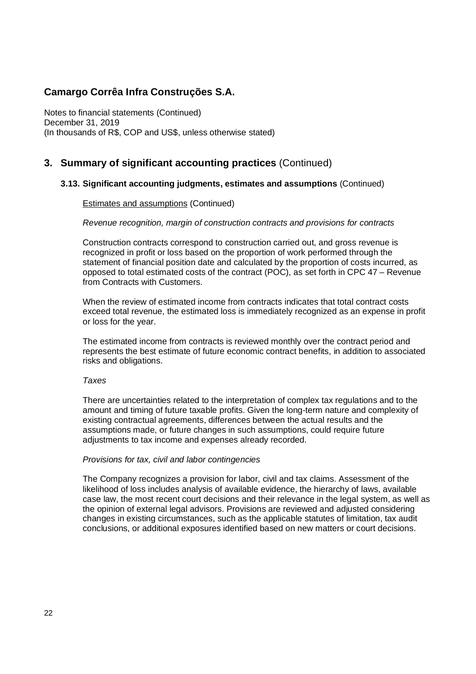Notes to financial statements (Continued) December 31, 2019 (In thousands of R\$, COP and US\$, unless otherwise stated)

## **3. Summary of significant accounting practices** (Continued)

### **3.13. Significant accounting judgments, estimates and assumptions** (Continued)

#### Estimates and assumptions (Continued)

#### *Revenue recognition, margin of construction contracts and provisions for contracts*

Construction contracts correspond to construction carried out, and gross revenue is recognized in profit or loss based on the proportion of work performed through the statement of financial position date and calculated by the proportion of costs incurred, as opposed to total estimated costs of the contract (POC), as set forth in CPC 47 – Revenue from Contracts with Customers.

When the review of estimated income from contracts indicates that total contract costs exceed total revenue, the estimated loss is immediately recognized as an expense in profit or loss for the year.

The estimated income from contracts is reviewed monthly over the contract period and represents the best estimate of future economic contract benefits, in addition to associated risks and obligations.

#### *Taxes*

There are uncertainties related to the interpretation of complex tax regulations and to the amount and timing of future taxable profits. Given the long-term nature and complexity of existing contractual agreements, differences between the actual results and the assumptions made, or future changes in such assumptions, could require future adjustments to tax income and expenses already recorded.

#### *Provisions for tax, civil and labor contingencies*

The Company recognizes a provision for labor, civil and tax claims. Assessment of the likelihood of loss includes analysis of available evidence, the hierarchy of laws, available case law, the most recent court decisions and their relevance in the legal system, as well as the opinion of external legal advisors. Provisions are reviewed and adjusted considering changes in existing circumstances, such as the applicable statutes of limitation, tax audit conclusions, or additional exposures identified based on new matters or court decisions.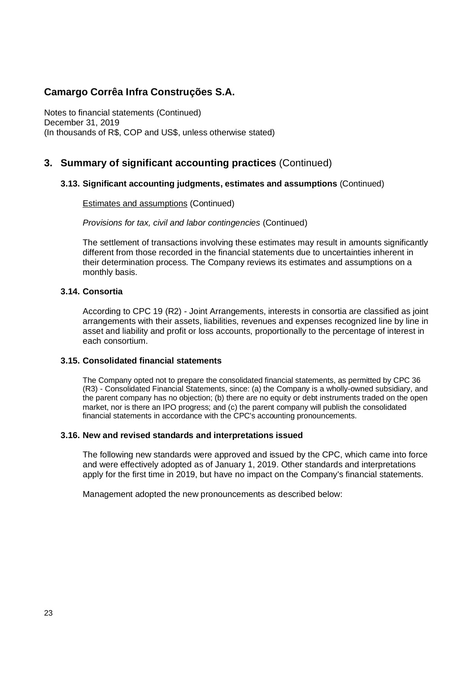Notes to financial statements (Continued) December 31, 2019 (In thousands of R\$, COP and US\$, unless otherwise stated)

## **3. Summary of significant accounting practices** (Continued)

### **3.13. Significant accounting judgments, estimates and assumptions** (Continued)

Estimates and assumptions (Continued)

*Provisions for tax, civil and labor contingencies* (Continued)

The settlement of transactions involving these estimates may result in amounts significantly different from those recorded in the financial statements due to uncertainties inherent in their determination process. The Company reviews its estimates and assumptions on a monthly basis.

### **3.14. Consortia**

According to CPC 19 (R2) - Joint Arrangements, interests in consortia are classified as joint arrangements with their assets, liabilities, revenues and expenses recognized line by line in asset and liability and profit or loss accounts, proportionally to the percentage of interest in each consortium.

#### **3.15. Consolidated financial statements**

The Company opted not to prepare the consolidated financial statements, as permitted by CPC 36 (R3) - Consolidated Financial Statements, since: (a) the Company is a wholly-owned subsidiary, and the parent company has no objection; (b) there are no equity or debt instruments traded on the open market, nor is there an IPO progress; and (c) the parent company will publish the consolidated financial statements in accordance with the CPC's accounting pronouncements.

#### **3.16. New and revised standards and interpretations issued**

The following new standards were approved and issued by the CPC, which came into force and were effectively adopted as of January 1, 2019. Other standards and interpretations apply for the first time in 2019, but have no impact on the Company's financial statements.

Management adopted the new pronouncements as described below: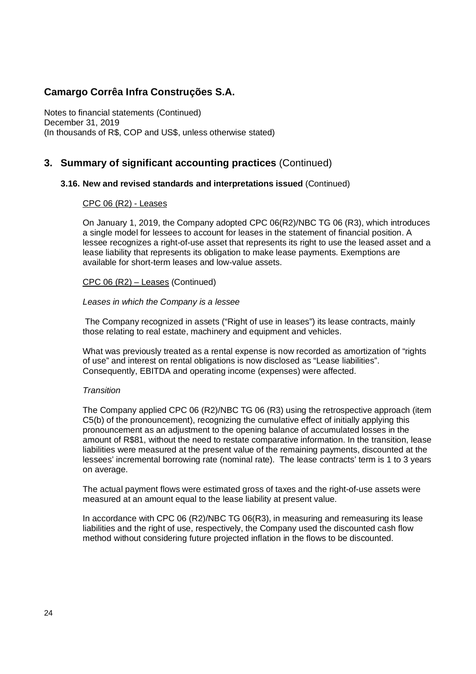Notes to financial statements (Continued) December 31, 2019 (In thousands of R\$, COP and US\$, unless otherwise stated)

## **3. Summary of significant accounting practices** (Continued)

### **3.16. New and revised standards and interpretations issued** (Continued)

#### CPC 06 (R2) - Leases

On January 1, 2019, the Company adopted CPC 06(R2)/NBC TG 06 (R3), which introduces a single model for lessees to account for leases in the statement of financial position. A lessee recognizes a right-of-use asset that represents its right to use the leased asset and a lease liability that represents its obligation to make lease payments. Exemptions are available for short-term leases and low-value assets.

#### CPC 06 (R2) – Leases (Continued)

#### *Leases in which the Company is a lessee*

 The Company recognized in assets ("Right of use in leases") its lease contracts, mainly those relating to real estate, machinery and equipment and vehicles.

What was previously treated as a rental expense is now recorded as amortization of "rights of use" and interest on rental obligations is now disclosed as "Lease liabilities". Consequently, EBITDA and operating income (expenses) were affected.

#### *Transition*

The Company applied CPC 06 (R2)/NBC TG 06 (R3) using the retrospective approach (item C5(b) of the pronouncement), recognizing the cumulative effect of initially applying this pronouncement as an adjustment to the opening balance of accumulated losses in the amount of R\$81, without the need to restate comparative information. In the transition, lease liabilities were measured at the present value of the remaining payments, discounted at the lessees' incremental borrowing rate (nominal rate). The lease contracts' term is 1 to 3 years on average.

The actual payment flows were estimated gross of taxes and the right-of-use assets were measured at an amount equal to the lease liability at present value.

In accordance with CPC 06 (R2)/NBC TG 06(R3), in measuring and remeasuring its lease liabilities and the right of use, respectively, the Company used the discounted cash flow method without considering future projected inflation in the flows to be discounted.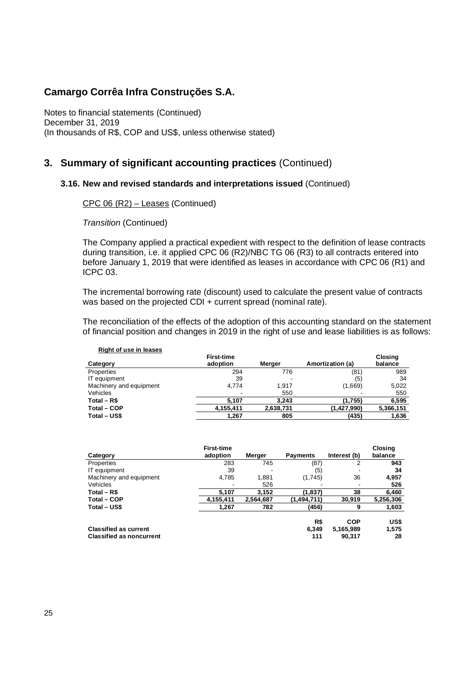Notes to financial statements (Continued) December 31, 2019 (In thousands of R\$, COP and US\$, unless otherwise stated)

### **3. Summary of significant accounting practices** (Continued)

#### **3.16. New and revised standards and interpretations issued** (Continued)

CPC 06 (R2) – Leases (Continued)

*Transition* (Continued)

The Company applied a practical expedient with respect to the definition of lease contracts during transition, i.e. it applied CPC 06 (R2)/NBC TG 06 (R3) to all contracts entered into before January 1, 2019 that were identified as leases in accordance with CPC 06 (R1) and ICPC 03.

The incremental borrowing rate (discount) used to calculate the present value of contracts was based on the projected CDI + current spread (nominal rate).

The reconciliation of the effects of the adoption of this accounting standard on the statement of financial position and changes in 2019 in the right of use and lease liabilities is as follows:

| <b>Right of use in leases</b> |                               |           |                  |                           |
|-------------------------------|-------------------------------|-----------|------------------|---------------------------|
| Category                      | <b>First-time</b><br>adoption | Merger    | Amortization (a) | <b>Closing</b><br>balance |
| Properties                    | 294                           | 776       | (81)             | 989                       |
| IT equipment                  | 39                            |           | (5)              | 34                        |
| Machinery and equipment       | 4.774                         | 1.917     | (1,669)          | 5,022                     |
| Vehicles                      |                               | 550       |                  | 550                       |
| Total $-$ R\$                 | 5.107                         | 3.243     | (1,755)          | 6,595                     |
| Total - COP                   | 4,155,411                     | 2,638,731 | (1,427,990)      | 5,366,151                 |
| Total - US\$                  | 1,267                         | 805       | (435)            | 1,636                     |

|                                 | <b>First-time</b>        |           |                 |                          | Closing   |
|---------------------------------|--------------------------|-----------|-----------------|--------------------------|-----------|
| Category                        | adoption                 | Merger    | <b>Payments</b> | Interest (b)             | balance   |
| Properties                      | 283                      | 745       | (87)            | 2                        | 943       |
| IT equipment                    | 39                       |           | (5)             |                          | 34        |
| Machinery and equipment         | 4,785                    | 1,881     | (1,745)         | 36                       | 4,957     |
| Vehicles                        | $\overline{\phantom{a}}$ | 526       |                 | $\overline{\phantom{a}}$ | 526       |
| Total $-$ R\$                   | 5,107                    | 3,152     | (1, 837)        | 38                       | 6,460     |
| Total – COP                     | 4,155,411                | 2,564,687 | (1,494,711)     | 30,919                   | 5,256,306 |
| Total – US\$                    | 1,267                    | 782       | (456)           | 9                        | 1,603     |
|                                 |                          |           | R\$             | <b>COP</b>               | US\$      |
| <b>Classified as current</b>    |                          |           | 6,349           | 5,165,989                | 1,575     |
| <b>Classified as noncurrent</b> |                          |           | 111             | 90.317                   | 28        |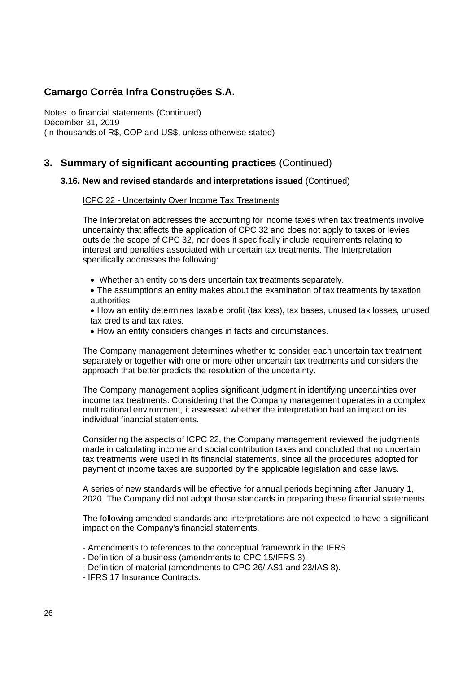Notes to financial statements (Continued) December 31, 2019 (In thousands of R\$, COP and US\$, unless otherwise stated)

### **3. Summary of significant accounting practices** (Continued)

### **3.16. New and revised standards and interpretations issued** (Continued)

#### ICPC 22 - Uncertainty Over Income Tax Treatments

The Interpretation addresses the accounting for income taxes when tax treatments involve uncertainty that affects the application of CPC 32 and does not apply to taxes or levies outside the scope of CPC 32, nor does it specifically include requirements relating to interest and penalties associated with uncertain tax treatments. The Interpretation specifically addresses the following:

· Whether an entity considers uncertain tax treatments separately.

· The assumptions an entity makes about the examination of tax treatments by taxation authorities.

· How an entity determines taxable profit (tax loss), tax bases, unused tax losses, unused tax credits and tax rates.

· How an entity considers changes in facts and circumstances.

The Company management determines whether to consider each uncertain tax treatment separately or together with one or more other uncertain tax treatments and considers the approach that better predicts the resolution of the uncertainty.

The Company management applies significant judgment in identifying uncertainties over income tax treatments. Considering that the Company management operates in a complex multinational environment, it assessed whether the interpretation had an impact on its individual financial statements.

Considering the aspects of ICPC 22, the Company management reviewed the judgments made in calculating income and social contribution taxes and concluded that no uncertain tax treatments were used in its financial statements, since all the procedures adopted for payment of income taxes are supported by the applicable legislation and case laws.

A series of new standards will be effective for annual periods beginning after January 1, 2020. The Company did not adopt those standards in preparing these financial statements.

The following amended standards and interpretations are not expected to have a significant impact on the Company's financial statements.

- Amendments to references to the conceptual framework in the IFRS.
- Definition of a business (amendments to CPC 15/IFRS 3).
- Definition of material (amendments to CPC 26/IAS1 and 23/IAS 8).
- IFRS 17 Insurance Contracts.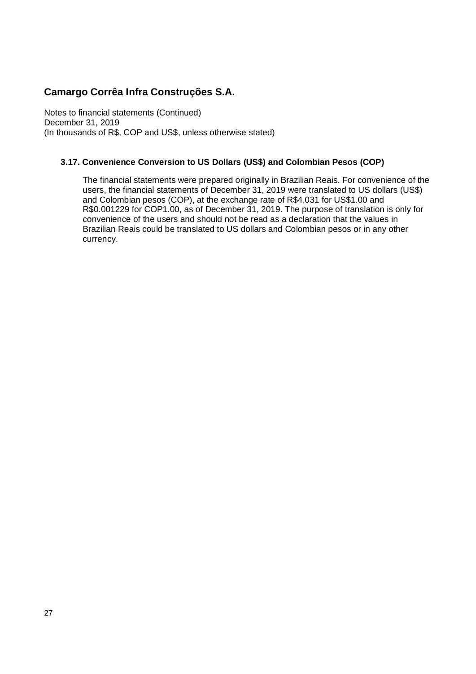Notes to financial statements (Continued) December 31, 2019 (In thousands of R\$, COP and US\$, unless otherwise stated)

### **3.17. Convenience Conversion to US Dollars (US\$) and Colombian Pesos (COP)**

The financial statements were prepared originally in Brazilian Reais. For convenience of the users, the financial statements of December 31, 2019 were translated to US dollars (US\$) and Colombian pesos (COP), at the exchange rate of R\$4,031 for US\$1.00 and R\$0.001229 for COP1.00, as of December 31, 2019. The purpose of translation is only for convenience of the users and should not be read as a declaration that the values in Brazilian Reais could be translated to US dollars and Colombian pesos or in any other currency.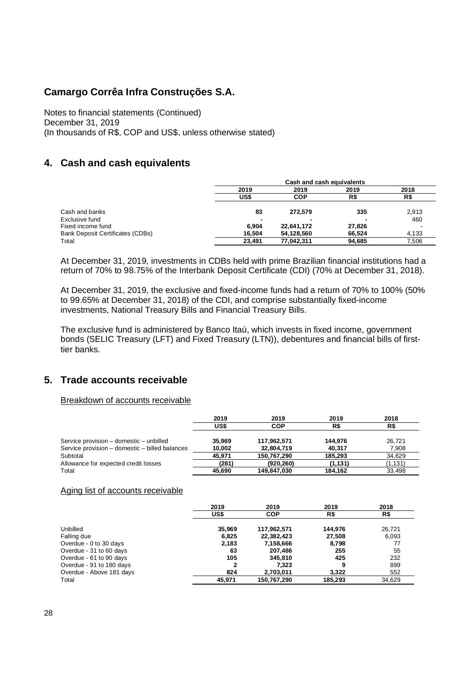Notes to financial statements (Continued) December 31, 2019 (In thousands of R\$, COP and US\$, unless otherwise stated)

## **4. Cash and cash equivalents**

|                                         | Cash and cash equivalents |            |        |       |  |  |
|-----------------------------------------|---------------------------|------------|--------|-------|--|--|
|                                         | 2019                      | 2019       | 2019   | 2018  |  |  |
|                                         | US\$                      | COP        | R\$    | R\$   |  |  |
| Cash and banks                          | 83                        | 272.579    | 335    | 2,913 |  |  |
| Exclusive fund                          | -                         |            |        | 460   |  |  |
| Fixed income fund                       | 6.904                     | 22,641,172 | 27.826 |       |  |  |
| <b>Bank Deposit Certificates (CDBs)</b> | 16.504                    | 54.128.560 | 66.524 | 4,133 |  |  |
| Total                                   | 23.491                    | 77,042,311 | 94,685 | 7.506 |  |  |

At December 31, 2019, investments in CDBs held with prime Brazilian financial institutions had a return of 70% to 98.75% of the Interbank Deposit Certificate (CDI) (70% at December 31, 2018).

At December 31, 2019, the exclusive and fixed-income funds had a return of 70% to 100% (50% to 99.65% at December 31, 2018) of the CDI, and comprise substantially fixed-income investments, National Treasury Bills and Financial Treasury Bills.

The exclusive fund is administered by Banco Itaú, which invests in fixed income, government bonds (SELIC Treasury (LFT) and Fixed Treasury (LTN)), debentures and financial bills of firsttier banks.

### **5. Trade accounts receivable**

#### Breakdown of accounts receivable

|                                                | 2019   | 2019        | 2019     | 2018    |
|------------------------------------------------|--------|-------------|----------|---------|
|                                                | US\$   | COP         | R\$      | R\$     |
| Service provision – domestic – unbilled        | 35.969 | 117,962,571 | 144.976  | 26.721  |
| Service provision - domestic - billed balances | 10,002 | 32,804,719  | 40.317   | 7.908   |
| Subtotal                                       | 45.971 | 150,767,290 | 185.293  | 34.629  |
| Allowance for expected credit losses           | (281)  | (920.260)   | (1, 131) | (1.131) |
| Total                                          | 45.690 | 149.847.030 | 184.162  | 33.498  |

#### Aging list of accounts receivable

|                          | 2019   | 2019        | 2019    | 2018   |
|--------------------------|--------|-------------|---------|--------|
|                          | US\$   | <b>COP</b>  | R\$     | R\$    |
| Unbilled                 | 35.969 | 117,962,571 | 144.976 | 26.721 |
| Falling due              | 6,825  | 22,382,423  | 27,508  | 6.093  |
| Overdue - 0 to 30 days   | 2,183  | 7,158,666   | 8,798   | 77     |
| Overdue - 31 to 60 days  | 63     | 207.486     | 255     | 55     |
| Overdue - 61 to 90 days  | 105    | 345.810     | 425     | 232    |
| Overdue - 91 to 180 days | 2      | 7.323       | 9       | 899    |
| Overdue - Above 181 days | 824    | 2,703,011   | 3.322   | 552    |
| Total                    | 45.971 | 150,767,290 | 185.293 | 34,629 |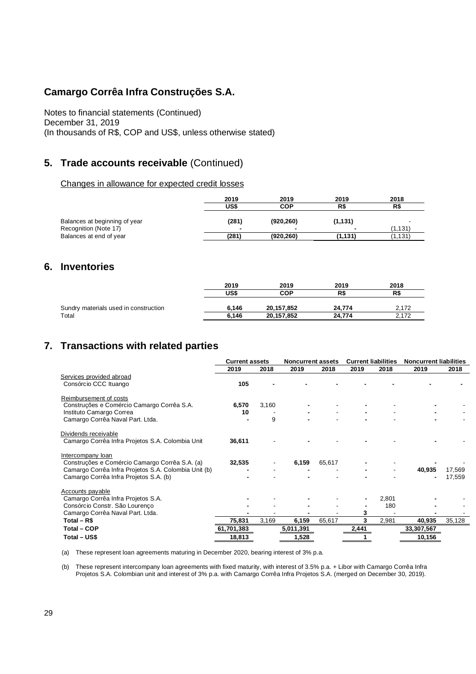Notes to financial statements (Continued) December 31, 2019 (In thousands of R\$, COP and US\$, unless otherwise stated)

## **5. Trade accounts receivable** (Continued)

#### Changes in allowance for expected credit losses

|                               | 2019  | 2019                     | 2019     | 2018    |
|-------------------------------|-------|--------------------------|----------|---------|
|                               | US\$  | <b>COP</b>               | R\$      | R\$     |
| Balances at beginning of year | (281) | (920, 260)               | (1, 131) |         |
| Recognition (Note 17)         |       | $\overline{\phantom{a}}$ |          | (1.131) |
| Balances at end of year       | (281) | (920,260)                | (1,131)  | (1.131) |

### **6. Inventories**

|                                       | 2019  | 2019       | 2019   | 2018  |
|---------------------------------------|-------|------------|--------|-------|
|                                       | US\$  | <b>COP</b> | R\$    | R\$   |
| Sundry materials used in construction | 6.146 | 20.157.852 | 24.774 | 2.172 |
| Total                                 | 6.146 | 20,157,852 | 24.774 | 2,172 |

## **7. Transactions with related parties**

|                                                      | <b>Current assets</b> |       | <b>Noncurrent assets</b> |        | <b>Current liabilities</b> |       | <b>Noncurrent liabilities</b> |        |
|------------------------------------------------------|-----------------------|-------|--------------------------|--------|----------------------------|-------|-------------------------------|--------|
|                                                      | 2019                  | 2018  | 2019                     | 2018   | 2019                       | 2018  | 2019                          | 2018   |
| Services provided abroad                             |                       |       |                          |        |                            |       |                               |        |
| Consórcio CCC Ituango                                | 105                   |       |                          |        |                            |       |                               |        |
| Reimbursement of costs                               |                       |       |                          |        |                            |       |                               |        |
| Construções e Comércio Camargo Corrêa S.A.           | 6,570                 | 3,160 |                          |        |                            |       |                               |        |
| Instituto Camargo Correa                             | 10                    |       |                          |        |                            |       |                               |        |
| Camargo Corrêa Naval Part. Ltda.                     |                       | 9     |                          |        |                            |       |                               |        |
| Dividends receivable                                 |                       |       |                          |        |                            |       |                               |        |
| Camargo Corrêa Infra Projetos S.A. Colombia Unit     | 36,611                |       |                          |        |                            |       |                               |        |
| Intercompany loan                                    |                       |       |                          |        |                            |       |                               |        |
| Construções e Comércio Camargo Corrêa S.A. (a)       | 32,535                |       | 6,159                    | 65,617 |                            |       |                               |        |
| Camargo Corrêa Infra Projetos S.A. Colombia Unit (b) |                       |       |                          |        |                            |       | 40,935                        | 17,569 |
| Camargo Corrêa Infra Projetos S.A. (b)               |                       |       |                          |        |                            |       | ٠                             | 17,559 |
| Accounts payable                                     |                       |       |                          |        |                            |       |                               |        |
| Camargo Corrêa Infra Projetos S.A.                   |                       |       |                          |        |                            | 2,801 |                               |        |
| Consórcio Constr. São Lourenço                       |                       |       |                          |        |                            | 180   |                               |        |
| Camargo Corrêa Naval Part. Ltda.                     |                       |       |                          |        |                            |       |                               |        |
| Total – R\$                                          | 75,831                | 3,169 | 6,159                    | 65,617 |                            | 2,981 | 40,935                        | 35,128 |
| Total - COP                                          | 61,701,383            |       | 5,011,391                |        | 2,441                      |       | 33,307,567                    |        |
| Total - US\$                                         | 18,813                |       | 1,528                    |        |                            |       | 10,156                        |        |

(a) These represent loan agreements maturing in December 2020, bearing interest of 3% p.a.

(b) These represent intercompany loan agreements with fixed maturity, with interest of 3.5% p.a. + Libor with Camargo Corrêa Infra Projetos S.A. Colombian unit and interest of 3% p.a. with Camargo Corrêa Infra Projetos S.A. (merged on December 30, 2019).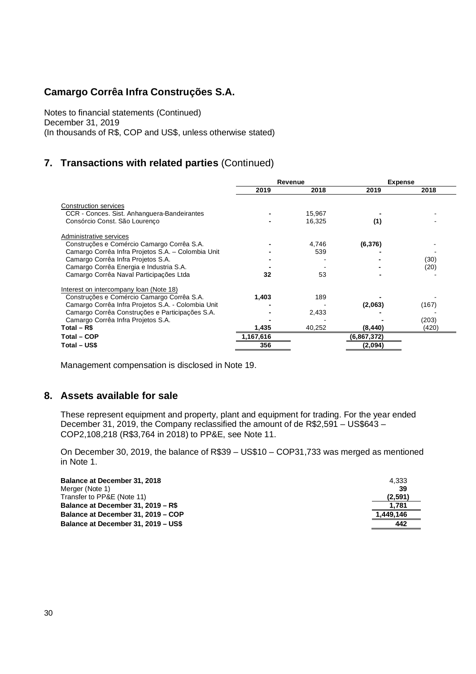Notes to financial statements (Continued) December 31, 2019 (In thousands of R\$, COP and US\$, unless otherwise stated)

## **7. Transactions with related parties** (Continued)

|                                                    | Revenue   |        | <b>Expense</b> |       |
|----------------------------------------------------|-----------|--------|----------------|-------|
|                                                    | 2019      | 2018   | 2019           | 2018  |
| Construction services                              |           |        |                |       |
| CCR - Conces. Sist. Anhanguera-Bandeirantes        |           | 15,967 |                |       |
| Consórcio Const. São Lourenco                      |           | 16,325 | (1)            |       |
| Administrative services                            |           |        |                |       |
| Construções e Comércio Camargo Corrêa S.A.         |           | 4,746  | (6, 376)       |       |
| Camargo Corrêa Infra Projetos S.A. - Colombia Unit |           | 539    |                |       |
| Camargo Corrêa Infra Projetos S.A.                 |           |        |                | (30)  |
| Camargo Corrêa Energia e Industria S.A.            |           |        |                | (20)  |
| Camargo Corrêa Naval Participações Ltda            | 32        | 53     |                |       |
| Interest on intercompany loan (Note 18)            |           |        |                |       |
| Construções e Comércio Camargo Corrêa S.A.         | 1,403     | 189    |                |       |
| Camargo Corrêa Infra Projetos S.A. - Colombia Unit |           |        | (2,063)        | (167) |
| Camargo Corrêa Construções e Participações S.A.    |           | 2,433  |                |       |
| Camargo Corrêa Infra Projetos S.A.                 |           |        |                | (203) |
| Total $-$ R\$                                      | 1,435     | 40,252 | (8, 440)       | (420) |
| <b>Total - COP</b>                                 | 1,167,616 |        | (6,867,372)    |       |
| Total – US\$                                       | 356       |        | (2,094)        |       |

Management compensation is disclosed in Note 19.

### **8. Assets available for sale**

These represent equipment and property, plant and equipment for trading. For the year ended December 31, 2019, the Company reclassified the amount of de R\$2,591 – US\$643 – COP2,108,218 (R\$3,764 in 2018) to PP&E, see Note 11.

On December 30, 2019, the balance of R\$39 – US\$10 – COP31,733 was merged as mentioned in Note 1.

| Balance at December 31, 2018        | 4.333     |
|-------------------------------------|-----------|
| Merger (Note 1)                     | 39        |
| Transfer to PP&E (Note 11)          | (2,591)   |
| Balance at December 31, 2019 - R\$  | 1.781     |
| Balance at December 31, 2019 - COP  | 1.449.146 |
| Balance at December 31, 2019 - US\$ | 442       |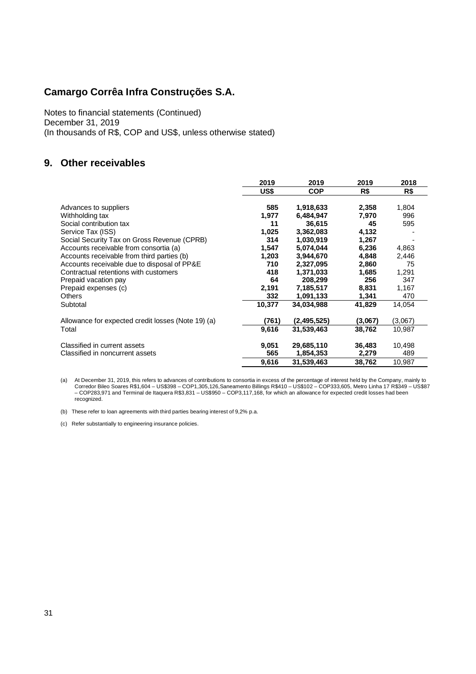Notes to financial statements (Continued) December 31, 2019 (In thousands of R\$, COP and US\$, unless otherwise stated)

## **9. Other receivables**

|                                                    | 2019   | 2019        | 2019    | 2018    |
|----------------------------------------------------|--------|-------------|---------|---------|
|                                                    | US\$   | <b>COP</b>  | R\$     | R\$     |
| Advances to suppliers                              | 585    | 1,918,633   | 2,358   | 1,804   |
| Withholding tax                                    | 1,977  | 6,484,947   | 7,970   | 996     |
| Social contribution tax                            | 11     | 36,615      | 45      | 595     |
| Service Tax (ISS)                                  | 1,025  | 3,362,083   | 4,132   |         |
| Social Security Tax on Gross Revenue (CPRB)        | 314    | 1,030,919   | 1,267   |         |
| Accounts receivable from consortia (a)             | 1,547  | 5,074,044   | 6,236   | 4,863   |
| Accounts receivable from third parties (b)         | 1,203  | 3,944,670   | 4,848   | 2,446   |
| Accounts receivable due to disposal of PP&E        | 710    | 2,327,095   | 2,860   | 75      |
| Contractual retentions with customers              | 418    | 1,371,033   | 1,685   | 1,291   |
| Prepaid vacation pay                               | 64     | 208,299     | 256     | 347     |
| Prepaid expenses (c)                               | 2,191  | 7,185,517   | 8,831   | 1,167   |
| <b>Others</b>                                      | 332    | 1,091,133   | 1,341   | 470     |
| Subtotal                                           | 10,377 | 34.034.988  | 41,829  | 14,054  |
| Allowance for expected credit losses (Note 19) (a) | (761)  | (2,495,525) | (3,067) | (3,067) |
| Total                                              | 9,616  | 31,539,463  | 38,762  | 10,987  |
| Classified in current assets                       | 9,051  | 29,685,110  | 36,483  | 10,498  |
| Classified in noncurrent assets                    | 565    | 1,854,353   | 2,279   | 489     |
|                                                    | 9,616  | 31.539.463  | 38,762  | 10,987  |

a) At December 31, 2019, this refers to advances of contributions to consortia in excess of the percentage of interest held by the Company, mainly to<br>Corredor Bileo Soares R\$1,604 – US\$398 – COP1,305,126,Saneamento Billing recognized.

(b) These refer to loan agreements with third parties bearing interest of 9,2% p.a.

(c) Refer substantially to engineering insurance policies.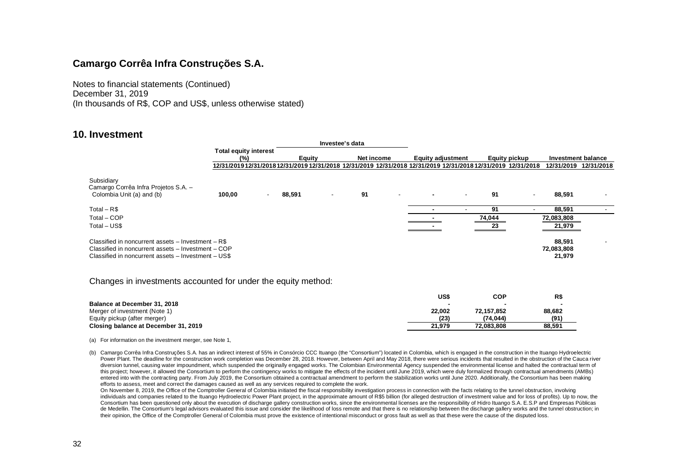Notes to financial statements (Continued) December 31, 2019 (In thousands of R\$, COP and US\$, unless otherwise stated)

### **10. Investment**

|                                                                                                                                                                 |                                                                                                               |               | Investee's data          |            |                          |                          |        |                          |                                |            |
|-----------------------------------------------------------------------------------------------------------------------------------------------------------------|---------------------------------------------------------------------------------------------------------------|---------------|--------------------------|------------|--------------------------|--------------------------|--------|--------------------------|--------------------------------|------------|
|                                                                                                                                                                 | <b>Total equity interest</b>                                                                                  |               |                          |            |                          |                          |        |                          |                                |            |
|                                                                                                                                                                 | (%)                                                                                                           | <b>Equity</b> |                          | Net income |                          | <b>Equity adjustment</b> |        | Equity pickup            | Investment balance             |            |
|                                                                                                                                                                 | 12/31/2019 12/31/2018 12/31/2019 12/31/2018 12/31/2019 12/31/2018 12/31/2019 12/31/2018 12/31/2019 12/31/2018 |               |                          |            |                          |                          |        |                          | 12/31/2019                     | 12/31/2018 |
| Subsidiary<br>Camargo Corrêa Infra Projetos S.A. -<br>Colombia Unit (a) and (b)                                                                                 | 100.00                                                                                                        | 88,591        | $\overline{\phantom{0}}$ | 91         | $\overline{\phantom{a}}$ |                          | 91     | $\overline{\phantom{a}}$ | 88,591                         |            |
| Total $-R$$                                                                                                                                                     |                                                                                                               |               |                          |            |                          |                          | 91     |                          | 88.591                         |            |
| Total - COP                                                                                                                                                     |                                                                                                               |               |                          |            |                          |                          | 74,044 |                          | 72,083,808                     |            |
| Total - US\$                                                                                                                                                    |                                                                                                               |               |                          |            |                          |                          | 23     |                          | 21,979                         |            |
| Classified in noncurrent assets - Investment - R\$<br>Classified in noncurrent assets - Investment - COP<br>Classified in noncurrent assets - Investment - US\$ |                                                                                                               |               |                          |            |                          |                          |        |                          | 88,591<br>72,083,808<br>21,979 |            |

#### Changes in investments accounted for under the equity method:

|                                      | US\$   | COP        | R\$    |
|--------------------------------------|--------|------------|--------|
| Balance at December 31, 2018         |        |            |        |
| Merger of investment (Note 1)        | 22.002 | 72.157.852 | 88,682 |
| Equity pickup (after merger)         | (23)   | (74.044)   | (91)   |
| Closing balance at December 31, 2019 | 21.979 | 72.083.808 | 88.591 |

(a) For information on the investment merger, see Note 1,

On November 8, 2019, the Office of the Comptroller General of Colombia initiated the fiscal responsibility investigation process in connection with the facts relating to the tunnel obstruction, involving individuals and companies related to the Ituango Hydroelectric Power Plant project, in the approximate amount of R\$5 billion (for alleged destruction of investment value and for loss of profits). Up to now, the Consortium has been questioned only about the execution of discharge gallery construction works, since the environmental licenses are the responsibility of Hidro Ituango S.A. E.S.P and Empresas Públicas de Medellin. The Consortium's legal advisors evaluated this issue and consider the likelihood of loss remote and that there is no relationship between the discharge gallery works and the tunnel obstruction; in their opinion, the Office of the Comptroller General of Colombia must prove the existence of intentional misconduct or gross fault as well as that these were the cause of the disputed loss.

<sup>(</sup>b) Camargo Corrêa Infra Construções S.A. has an indirect interest of 55% in Consórcio CCC Ituango (the "Consortium") located in Colombia, which is engaged in the construction in the Ituango Hydroelectric Power Plant. The deadline for the construction work completion was December 28, 2018. However, between April and May 2018, there were serious incidents that resulted in the obstruction of the Cauca river diversion tunnel, causing water impoundment, which suspended the originally engaged works. The Colombian Environmental Agency suspended the environmental license and halted the contractual term of this project; however, it allowed the Consortium to perform the contingency works to mitigate the effects of the incident until June 2019, which were duly formalized through contractual amendments (AMBs) entered into with the contracting party. From July 2019, the Consortium obtained a contractual amendment to perform the stabilization works until June 2020. Additionally, the Consortium has been making efforts to assess, meet and correct the damages caused as well as any services required to complete the work.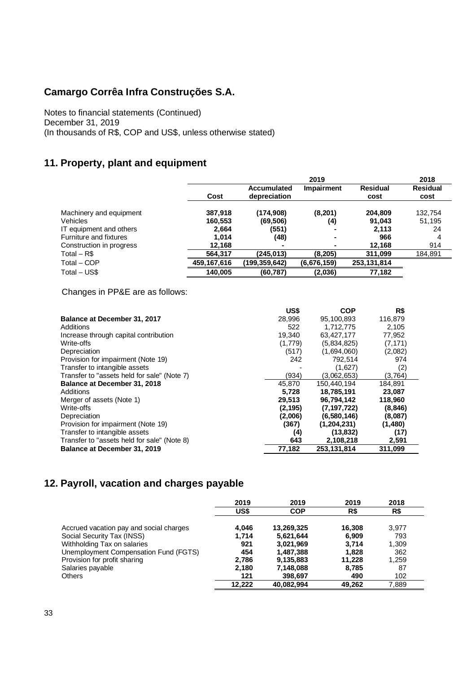Notes to financial statements (Continued) December 31, 2019 (In thousands of R\$, COP and US\$, unless otherwise stated)

## **11. Property, plant and equipment**

|                               |             |                    | 2019              |                 | 2018            |
|-------------------------------|-------------|--------------------|-------------------|-----------------|-----------------|
|                               |             | <b>Accumulated</b> | <b>Impairment</b> | <b>Residual</b> | <b>Residual</b> |
|                               | Cost        | depreciation       |                   | cost            | cost            |
| Machinery and equipment       | 387,918     | (174,908)          | (8, 201)          | 204.809         | 132,754         |
| Vehicles                      | 160,553     | (69,506)           | (4)               | 91.043          | 51,195          |
| IT equipment and others       | 2,664       | (551)              | ۰                 | 2.113           | 24              |
| <b>Furniture and fixtures</b> | 1.014       | (48)               | $\blacksquare$    | 966             | 4               |
| Construction in progress      | 12,168      | ۰                  | $\blacksquare$    | 12,168          | 914             |
| Total – R\$                   | 564,317     | (245.013)          | (8,205)           | 311.099         | 184,891         |
| Total - COP                   | 459,167,616 | (199,359,642)      | (6.676.159)       | 253,131,814     |                 |
| Total - US\$                  | 140,005     | (60, 787)          | (2,036)           | 77,182          |                 |

Changes in PP&E are as follows:

|                                             | US\$     | <b>COP</b>    | R\$      |
|---------------------------------------------|----------|---------------|----------|
| Balance at December 31, 2017                | 28.996   | 95,100,893    | 116,879  |
| Additions                                   | 522      | 1,712,775     | 2,105    |
| Increase through capital contribution       | 19.340   | 63,427,177    | 77,952   |
| Write-offs                                  | (1,779)  | (5,834,825)   | (7, 171) |
| Depreciation                                | (517)    | (1,694,060)   | (2,082)  |
| Provision for impairment (Note 19)          | 242      | 792.514       | 974      |
| Transfer to intangible assets               |          | (1,627)       | (2)      |
| Transfer to "assets held for sale" (Note 7) | (934)    | (3,062,653)   | (3,764)  |
| <b>Balance at December 31, 2018</b>         | 45.870   | 150.440.194   | 184.891  |
| Additions                                   | 5.728    | 18,785,191    | 23,087   |
| Merger of assets (Note 1)                   | 29.513   | 96,794,142    | 118,960  |
| Write-offs                                  | (2, 195) | (7, 197, 722) | (8, 846) |
| Depreciation                                | (2,006)  | (6,580,146)   | (8,087)  |
| Provision for impairment (Note 19)          | (367)    | (1, 204, 231) | (1,480)  |
| Transfer to intangible assets               | (4)      | (13, 832)     | (17)     |
| Transfer to "assets held for sale" (Note 8) | 643      | 2,108,218     | 2,591    |
| Balance at December 31, 2019                | 77,182   | 253,131,814   | 311,099  |

## **12. Payroll, vacation and charges payable**

|                                         | 2019   | 2019       | 2019   | 2018  |
|-----------------------------------------|--------|------------|--------|-------|
|                                         | US\$   | <b>COP</b> | R\$    | R\$   |
| Accrued vacation pay and social charges | 4,046  | 13,269,325 | 16.308 | 3.977 |
| Social Security Tax (INSS)              | 1,714  | 5,621,644  | 6.909  | 793   |
| Withholding Tax on salaries             | 921    | 3,021,969  | 3.714  | 1,309 |
| Unemployment Compensation Fund (FGTS)   | 454    | 1,487,388  | 1.828  | 362   |
| Provision for profit sharing            | 2,786  | 9,135,883  | 11,228 | 1,259 |
| Salaries payable                        | 2.180  | 7,148,088  | 8.785  | 87    |
| <b>Others</b>                           | 121    | 398,697    | 490    | 102   |
|                                         | 12.222 | 40.082.994 | 49.262 | 7.889 |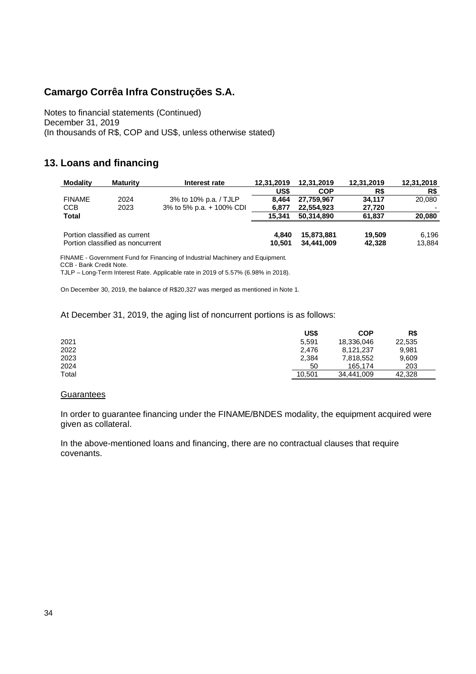Notes to financial statements (Continued) December 31, 2019 (In thousands of R\$, COP and US\$, unless otherwise stated)

## **13. Loans and financing**

| <b>Modality</b> | <b>Maturity</b>                  | Interest rate            | 12.31.2019 | 12,31,2019 | 12,31,2019 | 12,31,2018 |
|-----------------|----------------------------------|--------------------------|------------|------------|------------|------------|
|                 |                                  |                          | US\$       | <b>COP</b> | R\$        | R\$        |
| <b>FINAME</b>   | 2024                             | 3% to 10% p.a. / TJLP    | 8.464      | 27.759.967 | 34.117     | 20,080     |
| <b>CCB</b>      | 2023                             | 3% to 5% p.a. + 100% CDI | 6.877      | 22,554,923 | 27,720     |            |
| <b>Total</b>    |                                  |                          | 15.341     | 50.314.890 | 61.837     | 20,080     |
|                 |                                  |                          |            |            |            |            |
|                 | Portion classified as current    |                          | 4.840      | 15,873,881 | 19.509     | 6,196      |
|                 | Portion classified as noncurrent |                          | 10.501     | 34.441.009 | 42,328     | 13,884     |

FINAME - Government Fund for Financing of Industrial Machinery and Equipment. CCB - Bank Credit Note.

TJLP – Long-Term Interest Rate. Applicable rate in 2019 of 5.57% (6.98% in 2018).

On December 30, 2019, the balance of R\$20,327 was merged as mentioned in Note 1.

#### At December 31, 2019, the aging list of noncurrent portions is as follows:

|       | US\$   | COP        | R\$    |
|-------|--------|------------|--------|
| 2021  | 5,591  | 18,336,046 | 22,535 |
| 2022  | 2.476  | 8,121,237  | 9,981  |
| 2023  | 2,384  | 7,818,552  | 9,609  |
| 2024  | 50     | 165.174    | 203    |
| Total | 10,501 | 34.441.009 | 42.328 |

#### **Guarantees**

In order to guarantee financing under the FINAME/BNDES modality, the equipment acquired were given as collateral.

In the above-mentioned loans and financing, there are no contractual clauses that require covenants.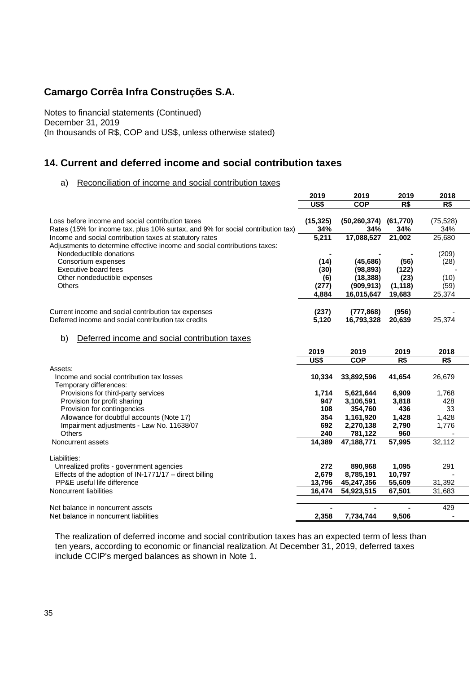Notes to financial statements (Continued) December 31, 2019 (In thousands of R\$, COP and US\$, unless otherwise stated)

## **14. Current and deferred income and social contribution taxes**

#### a) Reconciliation of income and social contribution taxes

|                                                                                 | 2019         | 2019                         | 2019          | 2018         |
|---------------------------------------------------------------------------------|--------------|------------------------------|---------------|--------------|
|                                                                                 | US\$         | <b>COP</b>                   | R\$           | R\$          |
|                                                                                 |              |                              |               |              |
| Loss before income and social contribution taxes                                | (15, 325)    | $(50, 260, 374)$ $(61, 770)$ |               | (75, 528)    |
| Rates (15% for income tax, plus 10% surtax, and 9% for social contribution tax) | 34%          | 34%                          | 34%           | 34%          |
| Income and social contribution taxes at statutory rates                         | 5,211        | 17,088,527                   | 21,002        | 25,680       |
| Adjustments to determine effective income and social contributions taxes:       |              |                              |               |              |
| Nondeductible donations                                                         |              |                              |               | (209)        |
| Consortium expenses<br>Executive board fees                                     | (14)         | (45, 686)                    | (56)          | (28)         |
|                                                                                 | (30)         | (98, 893)                    | (122)<br>(23) |              |
| Other nondeductible expenses<br><b>Others</b>                                   | (6)<br>(277) | (18, 388)<br>(909, 913)      | (1, 118)      | (10)<br>(59) |
|                                                                                 | 4,884        | 16,015,647                   | 19,683        | 25,374       |
|                                                                                 |              |                              |               |              |
| Current income and social contribution tax expenses                             | (237)        | (777, 868)                   | (956)         |              |
| Deferred income and social contribution tax credits                             | 5,120        | 16,793,328                   | 20,639        | 25,374       |
|                                                                                 |              |                              |               |              |
| Deferred income and social contribution taxes<br>b)                             |              |                              |               |              |
|                                                                                 | 2019         | 2019                         | 2019          | 2018         |
|                                                                                 | US\$         | <b>COP</b>                   | R\$           | R\$          |
| Assets:                                                                         |              |                              |               |              |
| Income and social contribution tax losses                                       | 10,334       | 33,892,596                   | 41,654        | 26,679       |
| Temporary differences:                                                          |              |                              |               |              |
| Provisions for third-party services                                             | 1,714        | 5,621,644                    | 6,909         | 1,768        |
| Provision for profit sharing                                                    | 947          | 3,106,591                    | 3,818         | 428          |
| Provision for contingencies                                                     | 108          | 354,760                      | 436           | 33           |
| Allowance for doubtful accounts (Note 17)                                       | 354          | 1,161,920                    | 1,428         | 1,428        |
| Impairment adjustments - Law No. 11638/07                                       | 692          | 2,270,138                    | 2,790         | 1,776        |
| Others                                                                          | 240          | 781,122                      | 960           |              |
| Noncurrent assets                                                               | 14,389       | 47,188,771                   | 57,995        | 32,112       |
|                                                                                 |              |                              |               |              |
| Liabilities:                                                                    |              |                              |               |              |
| Unrealized profits - government agencies                                        | 272          | 890,968                      | 1,095         | 291          |
| Effects of the adoption of $IN-1771/17$ – direct billing                        | 2,679        | 8,785,191                    | 10,797        |              |
| PP&E useful life difference                                                     | 13,796       | 45,247,356                   | 55,609        | 31,392       |
| Noncurrent liabilities                                                          | 16,474       | 54,923,515                   | 67,501        | 31,683       |
|                                                                                 |              |                              |               |              |
| Net balance in noncurrent assets                                                |              |                              |               | 429          |
| Net balance in noncurrent liabilities                                           | 2,358        | 7,734,744                    | 9.506         |              |

The realization of deferred income and social contribution taxes has an expected term of less than ten years, according to economic or financial realization. At December 31, 2019, deferred taxes include CCIP's merged balances as shown in Note 1.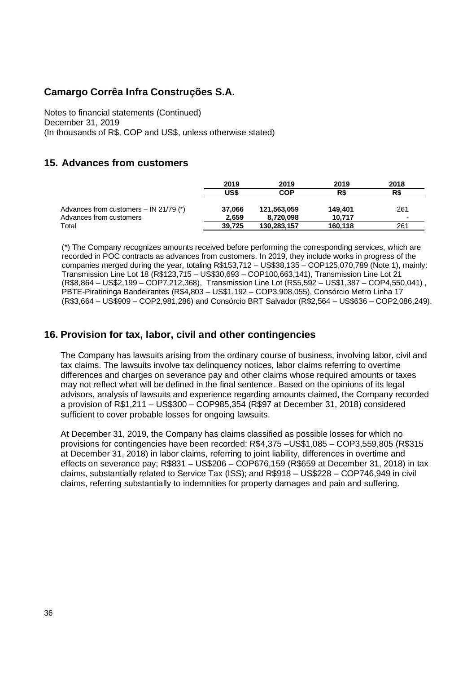Notes to financial statements (Continued) December 31, 2019 (In thousands of R\$, COP and US\$, unless otherwise stated)

## **15. Advances from customers**

|                                          | 2019   | 2019        | 2019    | 2018 |
|------------------------------------------|--------|-------------|---------|------|
|                                          | US\$   | <b>COP</b>  | R\$     | R\$  |
| Advances from customers $-$ IN 21/79 (*) | 37.066 | 121,563,059 | 149.401 | 261  |
| Advances from customers                  | 2.659  | 8,720,098   | 10.717  | -    |
| Total                                    | 39.725 | 130.283.157 | 160.118 | 261  |

(\*) The Company recognizes amounts received before performing the corresponding services, which are recorded in POC contracts as advances from customers. In 2019, they include works in progress of the companies merged during the year, totaling R\$153,712 – US\$38,135 – COP125,070,789 (Note 1), mainly: Transmission Line Lot 18 (R\$123,715 – US\$30,693 – COP100,663,141), Transmission Line Lot 21 (R\$8,864 – US\$2,199 – COP7,212,368), Transmission Line Lot (R\$5,592 – US\$1,387 – COP4,550,041) , PBTE-Piratininga Bandeirantes (R\$4,803 – US\$1,192 – COP3,908,055), Consórcio Metro Linha 17 (R\$3,664 – US\$909 – COP2,981,286) and Consórcio BRT Salvador (R\$2,564 – US\$636 – COP2,086,249).

## **16. Provision for tax, labor, civil and other contingencies**

The Company has lawsuits arising from the ordinary course of business, involving labor, civil and tax claims. The lawsuits involve tax delinquency notices, labor claims referring to overtime differences and charges on severance pay and other claims whose required amounts or taxes may not reflect what will be defined in the final sentence . Based on the opinions of its legal advisors, analysis of lawsuits and experience regarding amounts claimed, the Company recorded a provision of R\$1,211 – US\$300 – COP985,354 (R\$97 at December 31, 2018) considered sufficient to cover probable losses for ongoing lawsuits.

At December 31, 2019, the Company has claims classified as possible losses for which no provisions for contingencies have been recorded: R\$4,375 –US\$1,085 – COP3,559,805 (R\$315 at December 31, 2018) in labor claims, referring to joint liability, differences in overtime and effects on severance pay; R\$831 – US\$206 – COP676,159 (R\$659 at December 31, 2018) in tax claims, substantially related to Service Tax (ISS); and R\$918 – US\$228 – COP746,949 in civil claims, referring substantially to indemnities for property damages and pain and suffering.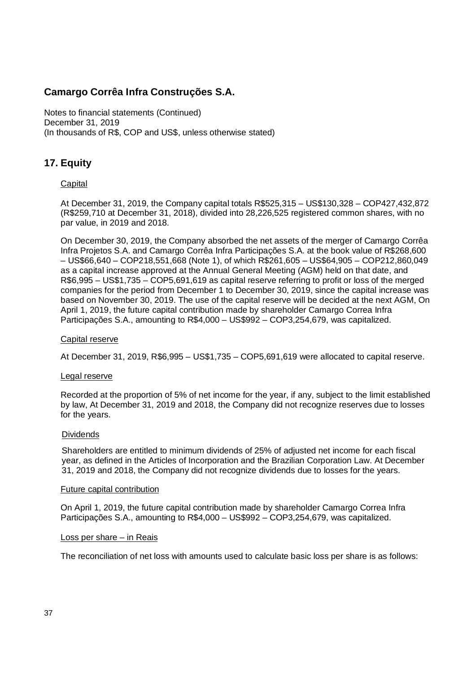Notes to financial statements (Continued) December 31, 2019 (In thousands of R\$, COP and US\$, unless otherwise stated)

## **17. Equity**

### **Capital**

At December 31, 2019, the Company capital totals R\$525,315 – US\$130,328 – COP427,432,872 (R\$259,710 at December 31, 2018), divided into 28,226,525 registered common shares, with no par value, in 2019 and 2018.

On December 30, 2019, the Company absorbed the net assets of the merger of Camargo Corrêa Infra Projetos S.A. and Camargo Corrêa Infra Participações S.A. at the book value of R\$268,600 – US\$66,640 – COP218,551,668 (Note 1), of which R\$261,605 – US\$64,905 – COP212,860,049 as a capital increase approved at the Annual General Meeting (AGM) held on that date, and R\$6,995 – US\$1,735 – COP5,691,619 as capital reserve referring to profit or loss of the merged companies for the period from December 1 to December 30, 2019, since the capital increase was based on November 30, 2019. The use of the capital reserve will be decided at the next AGM, On April 1, 2019, the future capital contribution made by shareholder Camargo Correa Infra Participações S.A., amounting to R\$4,000 – US\$992 – COP3,254,679, was capitalized.

#### Capital reserve

At December 31, 2019, R\$6,995 – US\$1,735 – COP5,691,619 were allocated to capital reserve.

#### Legal reserve

Recorded at the proportion of 5% of net income for the year, if any, subject to the limit established by law, At December 31, 2019 and 2018, the Company did not recognize reserves due to losses for the years.

#### Dividends

Shareholders are entitled to minimum dividends of 25% of adjusted net income for each fiscal year, as defined in the Articles of Incorporation and the Brazilian Corporation Law. At December 31, 2019 and 2018, the Company did not recognize dividends due to losses for the years.

#### Future capital contribution

On April 1, 2019, the future capital contribution made by shareholder Camargo Correa Infra Participações S.A., amounting to R\$4,000 – US\$992 – COP3,254,679, was capitalized.

#### Loss per share – in Reais

The reconciliation of net loss with amounts used to calculate basic loss per share is as follows: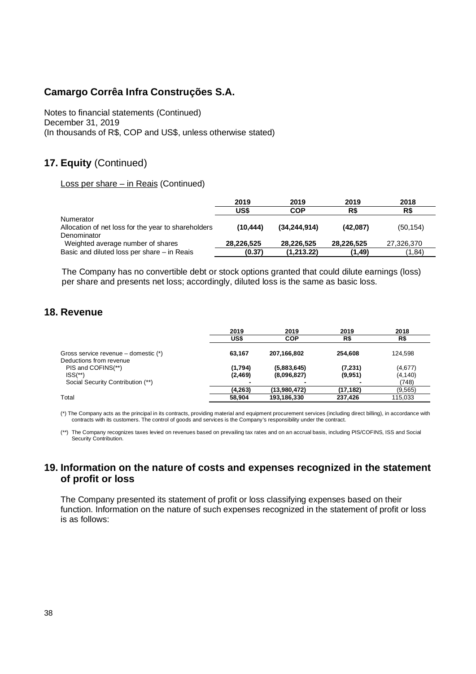Notes to financial statements (Continued) December 31, 2019 (In thousands of R\$, COP and US\$, unless otherwise stated)

## **17. Equity** (Continued)

Loss per share – in Reais (Continued)

|                                                     | 2019       | 2019           | 2019       | 2018       |
|-----------------------------------------------------|------------|----------------|------------|------------|
|                                                     | US\$       | <b>COP</b>     | R\$        | R\$        |
| Numerator                                           |            |                |            |            |
| Allocation of net loss for the year to shareholders | (10.444)   | (34, 244, 914) | (42,087)   | (50, 154)  |
| Denominator                                         |            |                |            |            |
| Weighted average number of shares                   | 28,226,525 | 28.226.525     | 28,226,525 | 27,326,370 |
| Basic and diluted loss per share - in Reais         | (0.37)     | (1,213.22)     | (1.49)     | (1,84)     |

The Company has no convertible debt or stock options granted that could dilute earnings (loss) per share and presents net loss; accordingly, diluted loss is the same as basic loss.

## **18. Revenue**

|                                                                 | 2019<br>US\$        | 2019<br><b>COP</b>         | 2019<br>R\$         | 2018<br>R\$         |
|-----------------------------------------------------------------|---------------------|----------------------------|---------------------|---------------------|
| Gross service revenue – domestic (*)<br>Deductions from revenue | 63.167              | 207,166,802                | 254.608             | 124.598             |
| PIS and COFINS(**)<br>$ISS(**)$                                 | (1,794)<br>(2, 469) | (5,883,645)<br>(8,096,827) | (7, 231)<br>(9,951) | (4,677)<br>(4, 140) |
| Social Security Contribution (**)                               |                     |                            |                     | (748)               |
|                                                                 | (4,263)             | (13,980,472)               | (17.182)            | (9,565)             |
| Total                                                           | 58,904              | 193,186,330                | 237.426             | 115,033             |

(\*) The Company acts as the principal in its contracts, providing material and equipment procurement services (including direct billing), in accordance with contracts with its customers. The control of goods and services is the Company's responsibility under the contract.

(\*\*) The Company recognizes taxes levied on revenues based on prevailing tax rates and on an accrual basis, including PIS/COFINS, ISS and Social Security Contribution.

### **19. Information on the nature of costs and expenses recognized in the statement of profit or loss**

The Company presented its statement of profit or loss classifying expenses based on their function. Information on the nature of such expenses recognized in the statement of profit or loss is as follows: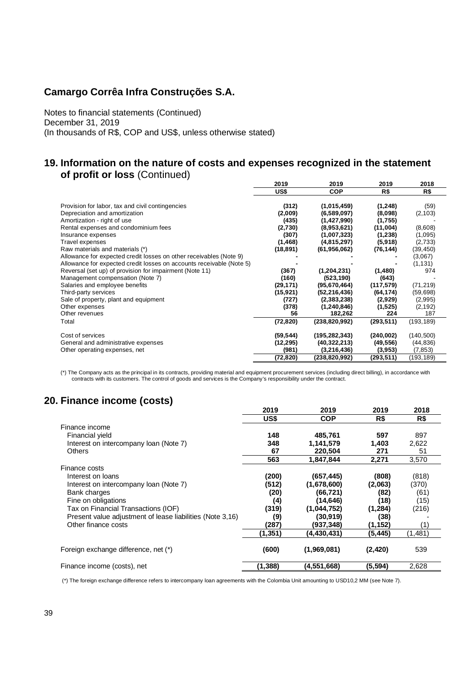Notes to financial statements (Continued) December 31, 2019 (In thousands of R\$, COP and US\$, unless otherwise stated)

### **19. Information on the nature of costs and expenses recognized in the statement of profit or loss** (Continued)

|                                                                      | 2019      | 2019            | 2019       | 2018       |
|----------------------------------------------------------------------|-----------|-----------------|------------|------------|
|                                                                      | US\$      | <b>COP</b>      | R\$        | R\$        |
|                                                                      |           |                 |            |            |
| Provision for labor, tax and civil contingencies                     | (312)     | (1,015,459)     | (1, 248)   | (59)       |
| Depreciation and amortization                                        | (2,009)   | (6,589,097)     | (8,098)    | (2, 103)   |
| Amortization - right of use                                          | (435)     | (1,427,990)     | (1,755)    |            |
| Rental expenses and condominium fees                                 | (2,730)   | (8,953,621)     | (11,004)   | (8,608)    |
| Insurance expenses                                                   | (307)     | (1,007,323)     | (1, 238)   | (1,095)    |
| Travel expenses                                                      | (1, 468)  | (4,815,297)     | (5,918)    | (2,733)    |
| Raw materials and materials (*)                                      | (18, 891) | (61, 956, 062)  | (76, 144)  | (39, 450)  |
| Allowance for expected credit losses on other receivables (Note 9)   |           |                 |            | (3,067)    |
| Allowance for expected credit losses on accounts receivable (Note 5) |           |                 |            | (1, 131)   |
| Reversal (set up) of provision for impairment (Note 11)              | (367)     | (1, 204, 231)   | (1,480)    | 974        |
| Management compensation (Note 7)                                     | (160)     | (523, 190)      | (643)      |            |
| Salaries and employee benefits                                       | (29, 171) | (95, 670, 464)  | (117, 579) | (71, 219)  |
| Third-party services                                                 | (15, 921) | (52, 216, 436)  | (64, 174)  | (59, 698)  |
| Sale of property, plant and equipment                                | (727)     | (2,383,238)     | (2,929)    | (2,995)    |
| Other expenses                                                       | (378)     | (1, 240, 846)   | (1,525)    | (2, 192)   |
| Other revenues                                                       | 56        | 182,262         | 224        | 187        |
| Total                                                                | (72, 820) | (238, 820, 992) | (293, 511) | (193, 189) |
|                                                                      |           |                 |            |            |
| Cost of services                                                     | (59, 544) | (195, 282, 343) | (240, 002) | (140, 500) |
| General and administrative expenses                                  | (12, 295) | (40, 322, 213)  | (49, 556)  | (44, 836)  |
| Other operating expenses, net                                        | (981)     | (3,216,436)     | (3,953)    | (7, 853)   |
|                                                                      | (72, 820) | (238,820,992)   | (293,511)  | (193,189)  |

The Company acts as the principal in its contracts, providing material and equipment procurement services (including direct billing), in accordance with contracts with its customers. The control of goods and services is th

## **20. Finance income (costs)**

| $\blacksquare$                                            |          |             |          |         |
|-----------------------------------------------------------|----------|-------------|----------|---------|
|                                                           | 2019     | 2019        | 2019     | 2018    |
|                                                           | US\$     | COP         | R\$      | R\$     |
| Finance income                                            |          |             |          |         |
| Financial yield                                           | 148      | 485,761     | 597      | 897     |
| Interest on intercompany loan (Note 7)                    | 348      | 1,141,579   | 1,403    | 2,622   |
| <b>Others</b>                                             | 67       | 220,504     | 271      | 51      |
|                                                           | 563      | 1,847,844   | 2,271    | 3,570   |
| Finance costs                                             |          |             |          |         |
| Interest on Ioans                                         | (200)    | (657, 445)  | (808)    | (818)   |
| Interest on intercompany loan (Note 7)                    | (512)    | (1,678,600) | (2,063)  | (370)   |
| Bank charges                                              | (20)     | (66,721)    | (82)     | (61)    |
| Fine on obligations                                       | (4)      | (14, 646)   | (18)     | (15)    |
| Tax on Financial Transactions (IOF)                       | (319)    | (1,044,752) | (1, 284) | (216)   |
| Present value adjustment of lease liabilities (Note 3,16) | (9)      | (30,919)    | (38)     |         |
| Other finance costs                                       | (287)    | (937,348)   | (1,152)  | (1)     |
|                                                           | (1,351)  | (4,430,431) | (5.445)  | (1,481) |
| Foreign exchange difference, net (*)                      | (600)    | (1,969,081) | (2, 420) | 539     |
| Finance income (costs), net                               | (1, 388) | (4,551,668) | (5,594)  | 2,628   |

(\*) The foreign exchange difference refers to intercompany loan agreements with the Colombia Unit amounting to USD10,2 MM (see Note 7).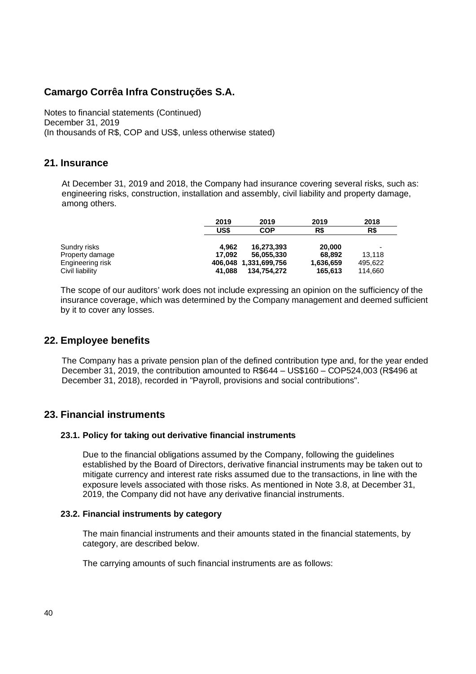Notes to financial statements (Continued) December 31, 2019 (In thousands of R\$, COP and US\$, unless otherwise stated)

### **21. Insurance**

At December 31, 2019 and 2018, the Company had insurance covering several risks, such as: engineering risks, construction, installation and assembly, civil liability and property damage, among others.

|                  | 2019   | 2019                  | 2019      | 2018                     |
|------------------|--------|-----------------------|-----------|--------------------------|
|                  | US\$   | COP                   | R\$       | R\$                      |
| Sundry risks     | 4.962  | 16.273.393            | 20,000    | $\overline{\phantom{0}}$ |
| Property damage  | 17.092 | 56.055.330            | 68.892    | 13.118                   |
| Engineering risk |        | 406,048 1,331,699,756 | 1,636,659 | 495.622                  |
| Civil liability  | 41.088 | 134.754.272           | 165,613   | 114,660                  |

The scope of our auditors' work does not include expressing an opinion on the sufficiency of the insurance coverage, which was determined by the Company management and deemed sufficient by it to cover any losses.

## **22. Employee benefits**

The Company has a private pension plan of the defined contribution type and, for the year ended December 31, 2019, the contribution amounted to R\$644 – US\$160 – COP524,003 (R\$496 at December 31, 2018), recorded in "Payroll, provisions and social contributions".

## **23. Financial instruments**

### **23.1. Policy for taking out derivative financial instruments**

Due to the financial obligations assumed by the Company, following the guidelines established by the Board of Directors, derivative financial instruments may be taken out to mitigate currency and interest rate risks assumed due to the transactions, in line with the exposure levels associated with those risks. As mentioned in Note 3.8, at December 31, 2019, the Company did not have any derivative financial instruments.

### **23.2. Financial instruments by category**

The main financial instruments and their amounts stated in the financial statements, by category, are described below.

The carrying amounts of such financial instruments are as follows: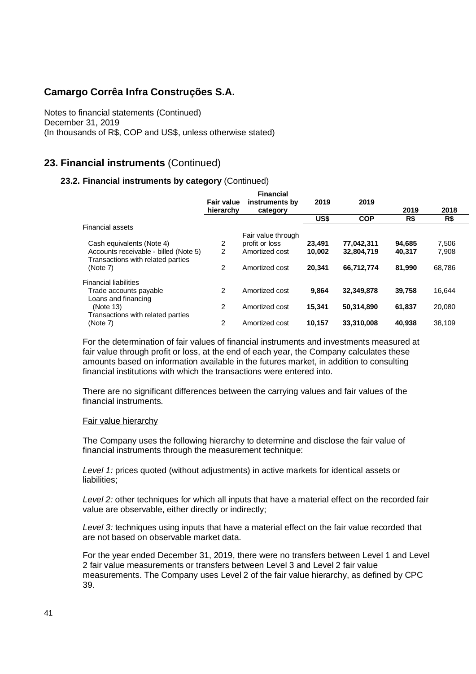Notes to financial statements (Continued) December 31, 2019 (In thousands of R\$, COP and US\$, unless otherwise stated)

## **23. Financial instruments** (Continued)

### **23.2. Financial instruments by category** (Continued)

|                                       |                | <b>Financial</b>   |        |            |        |        |  |
|---------------------------------------|----------------|--------------------|--------|------------|--------|--------|--|
|                                       | Fair value     | instruments by     | 2019   | 2019       |        |        |  |
|                                       | hierarchy      | category           |        |            | 2019   | 2018   |  |
|                                       |                |                    | US\$   | <b>COP</b> | R\$    | R\$    |  |
| <b>Financial assets</b>               |                |                    |        |            |        |        |  |
|                                       |                | Fair value through |        |            |        |        |  |
| Cash equivalents (Note 4)             | 2              | profit or loss     | 23,491 | 77,042,311 | 94,685 | 7,506  |  |
| Accounts receivable - billed (Note 5) | $\overline{2}$ | Amortized cost     | 10,002 | 32,804,719 | 40,317 | 7,908  |  |
| Transactions with related parties     |                |                    |        |            |        |        |  |
| (Note 7)                              | 2              | Amortized cost     | 20.341 | 66.712.774 | 81.990 | 68,786 |  |
|                                       |                |                    |        |            |        |        |  |
| <b>Financial liabilities</b>          |                |                    |        |            |        |        |  |
| Trade accounts payable                | 2              | Amortized cost     | 9.864  | 32,349,878 | 39,758 | 16,644 |  |
| Loans and financing                   |                |                    |        |            |        |        |  |
| (Note 13)                             | 2              | Amortized cost     | 15.341 | 50,314,890 | 61.837 | 20,080 |  |
| Transactions with related parties     |                |                    |        |            |        |        |  |
| (Note 7)                              | 2              | Amortized cost     | 10,157 | 33,310,008 | 40,938 | 38,109 |  |
|                                       |                |                    |        |            |        |        |  |

For the determination of fair values of financial instruments and investments measured at fair value through profit or loss, at the end of each year, the Company calculates these amounts based on information available in the futures market, in addition to consulting financial institutions with which the transactions were entered into.

There are no significant differences between the carrying values and fair values of the financial instruments.

#### Fair value hierarchy

The Company uses the following hierarchy to determine and disclose the fair value of financial instruments through the measurement technique:

*Level 1:* prices quoted (without adjustments) in active markets for identical assets or liabilities;

*Level 2:* other techniques for which all inputs that have a material effect on the recorded fair value are observable, either directly or indirectly;

*Level 3:* techniques using inputs that have a material effect on the fair value recorded that are not based on observable market data.

For the year ended December 31, 2019, there were no transfers between Level 1 and Level 2 fair value measurements or transfers between Level 3 and Level 2 fair value measurements. The Company uses Level 2 of the fair value hierarchy, as defined by CPC 39.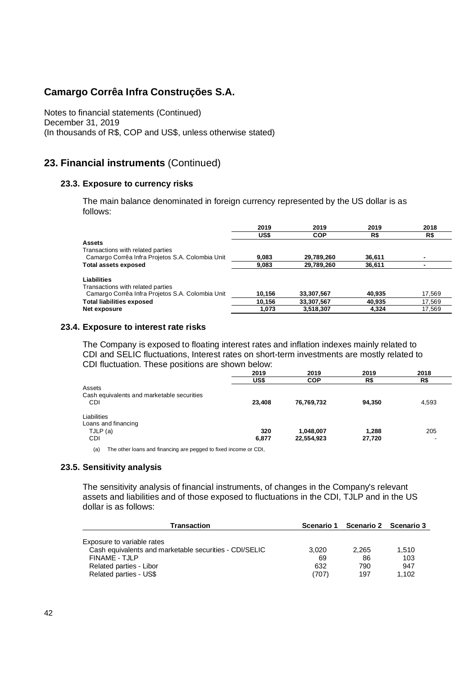Notes to financial statements (Continued) December 31, 2019 (In thousands of R\$, COP and US\$, unless otherwise stated)

### **23. Financial instruments** (Continued)

#### **23.3. Exposure to currency risks**

The main balance denominated in foreign currency represented by the US dollar is as follows:

|                                                  | 2019   | 2019       | 2019   | 2018   |
|--------------------------------------------------|--------|------------|--------|--------|
|                                                  | US\$   | <b>COP</b> | R\$    | R\$    |
| <b>Assets</b>                                    |        |            |        |        |
| Transactions with related parties                |        |            |        |        |
| Camargo Corrêa Infra Projetos S.A. Colombia Unit | 9,083  | 29,789,260 | 36.611 |        |
| <b>Total assets exposed</b>                      | 9.083  | 29,789,260 | 36.611 |        |
| Liabilities                                      |        |            |        |        |
| Transactions with related parties                |        |            |        |        |
| Camargo Corrêa Infra Projetos S.A. Colombia Unit | 10,156 | 33,307,567 | 40.935 | 17,569 |
| <b>Total liabilities exposed</b>                 | 10.156 | 33,307,567 | 40,935 | 17,569 |
| Net exposure                                     | 1,073  | 3,518,307  | 4,324  | 17,569 |
|                                                  |        |            |        |        |

#### **23.4. Exposure to interest rate risks**

The Company is exposed to floating interest rates and inflation indexes mainly related to CDI and SELIC fluctuations, Interest rates on short-term investments are mostly related to CDI fluctuation. These positions are shown below:

|                                            | 2019   | 2019       | 2019   | 2018  |
|--------------------------------------------|--------|------------|--------|-------|
|                                            | US\$   | <b>COP</b> | R\$    | R\$   |
| Assets                                     |        |            |        |       |
| Cash equivalents and marketable securities |        |            |        |       |
| <b>CDI</b>                                 | 23,408 | 76,769,732 | 94,350 | 4,593 |
| Liabilities                                |        |            |        |       |
| Loans and financing                        |        |            |        |       |
| TJLP (a)                                   | 320    | 1,048,007  | 1,288  | 205   |
| <b>CDI</b>                                 | 6,877  | 22,554,923 | 27,720 |       |
|                                            |        |            |        |       |

(a) The other loans and financing are pegged to fixed income or CDI,

#### **23.5. Sensitivity analysis**

The sensitivity analysis of financial instruments, of changes in the Company's relevant assets and liabilities and of those exposed to fluctuations in the CDI, TJLP and in the US dollar is as follows:

| Transaction                                            | Scenario 1 | Scenario 2 Scenario 3 |       |  |
|--------------------------------------------------------|------------|-----------------------|-------|--|
|                                                        |            |                       |       |  |
| Exposure to variable rates                             |            |                       |       |  |
| Cash equivalents and marketable securities - CDI/SELIC | 3.020      | 2.265                 | 1.510 |  |
| FINAME - TJLP                                          | 69         | 86                    | 103   |  |
| Related parties - Libor                                | 632        | 790                   | 947   |  |
| Related parties - US\$                                 | (707)      | 197                   | 1.102 |  |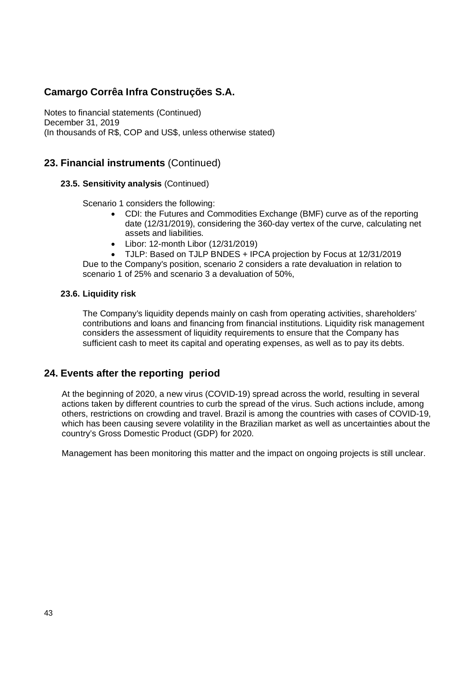Notes to financial statements (Continued) December 31, 2019 (In thousands of R\$, COP and US\$, unless otherwise stated)

## **23. Financial instruments** (Continued)

### **23.5. Sensitivity analysis** (Continued)

Scenario 1 considers the following:

- · CDI: the Futures and Commodities Exchange (BMF) curve as of the reporting date (12/31/2019), considering the 360-day vertex of the curve, calculating net assets and liabilities.
- · Libor: 12-month Libor (12/31/2019)

· TJLP: Based on TJLP BNDES + IPCA projection by Focus at 12/31/2019 Due to the Company's position, scenario 2 considers a rate devaluation in relation to scenario 1 of 25% and scenario 3 a devaluation of 50%,

### **23.6. Liquidity risk**

The Company's liquidity depends mainly on cash from operating activities, shareholders' contributions and loans and financing from financial institutions. Liquidity risk management considers the assessment of liquidity requirements to ensure that the Company has sufficient cash to meet its capital and operating expenses, as well as to pay its debts.

### **24. Events after the reporting period**

At the beginning of 2020, a new virus (COVID-19) spread across the world, resulting in several actions taken by different countries to curb the spread of the virus. Such actions include, among others, restrictions on crowding and travel. Brazil is among the countries with cases of COVID-19, which has been causing severe volatility in the Brazilian market as well as uncertainties about the country's Gross Domestic Product (GDP) for 2020.

Management has been monitoring this matter and the impact on ongoing projects is still unclear.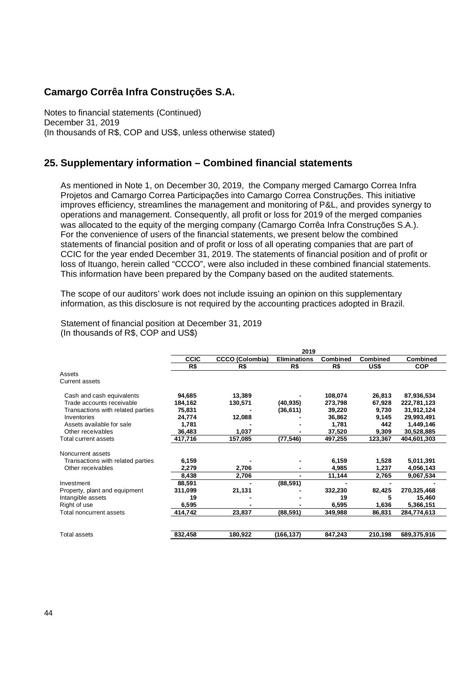Notes to financial statements (Continued) December 31, 2019 (In thousands of R\$, COP and US\$, unless otherwise stated)

### **25. Supplementary information – Combined financial statements**

As mentioned in Note 1, on December 30, 2019, the Company merged Camargo Correa Infra Projetos and Camargo Correa Participações into Camargo Correa Construções. This initiative improves efficiency, streamlines the management and monitoring of P&L, and provides synergy to operations and management. Consequently, all profit or loss for 2019 of the merged companies was allocated to the equity of the merging company (Camargo Corrêa Infra Construções S.A.). For the convenience of users of the financial statements, we present below the combined statements of financial position and of profit or loss of all operating companies that are part of CCIC for the year ended December 31, 2019. The statements of financial position and of profit or loss of Ituango, herein called "CCCO", were also included in these combined financial statements. This information have been prepared by the Company based on the audited statements.

The scope of our auditors' work does not include issuing an opinion on this supplementary information, as this disclosure is not required by the accounting practices adopted in Brazil.

|                                   | 2019        |                        |                     |          |                 |                 |  |  |
|-----------------------------------|-------------|------------------------|---------------------|----------|-----------------|-----------------|--|--|
|                                   | <b>CCIC</b> | <b>CCCO (Colombia)</b> | <b>Eliminations</b> | Combined | <b>Combined</b> | <b>Combined</b> |  |  |
|                                   | R\$         | R\$                    | R\$                 | R\$      | US\$            | <b>COP</b>      |  |  |
| Assets                            |             |                        |                     |          |                 |                 |  |  |
| <b>Current assets</b>             |             |                        |                     |          |                 |                 |  |  |
| Cash and cash equivalents         | 94,685      | 13,389                 |                     | 108,074  | 26,813          | 87,936,534      |  |  |
| Trade accounts receivable         | 184,162     | 130,571                | (40, 935)           | 273,798  | 67,928          | 222,781,123     |  |  |
| Transactions with related parties | 75,831      |                        | (36, 611)           | 39,220   | 9,730           | 31,912,124      |  |  |
| Inventories                       | 24,774      | 12,088                 |                     | 36,862   | 9,145           | 29,993,491      |  |  |
| Assets available for sale         | 1,781       |                        |                     | 1,781    | 442             | 1,449,146       |  |  |
| Other receivables                 | 36,483      | 1,037                  |                     | 37,520   | 9,309           | 30,528,885      |  |  |
| Total current assets              | 417,716     | 157,085                | (77, 546)           | 497,255  | 123,367         | 404,601,303     |  |  |
| Noncurrent assets                 |             |                        |                     |          |                 |                 |  |  |
| Transactions with related parties | 6,159       |                        |                     | 6,159    | 1,528           | 5,011,391       |  |  |
| Other receivables                 | 2,279       | 2,706                  |                     | 4,985    | 1,237           | 4,056,143       |  |  |
|                                   | 8,438       | 2,706                  | $\blacksquare$      | 11,144   | 2,765           | 9,067,534       |  |  |
| Investment                        | 88,591      |                        | (88, 591)           |          |                 |                 |  |  |
| Property, plant and equipment     | 311,099     | 21,131                 |                     | 332,230  | 82,425          | 270,325,468     |  |  |
| Intangible assets                 | 19          |                        |                     | 19       | 5               | 15,460          |  |  |
| Right of use                      | 6,595       |                        |                     | 6,595    | 1,636           | 5,366,151       |  |  |
| Total noncurrent assets           | 414,742     | 23,837                 | (88, 591)           | 349,988  | 86,831          | 284,774,613     |  |  |
| Total assets                      | 832,458     | 180,922                | (166,137)           | 847,243  | 210,198         | 689,375,916     |  |  |

Statement of financial position at December 31, 2019 (In thousands of R\$, COP and US\$)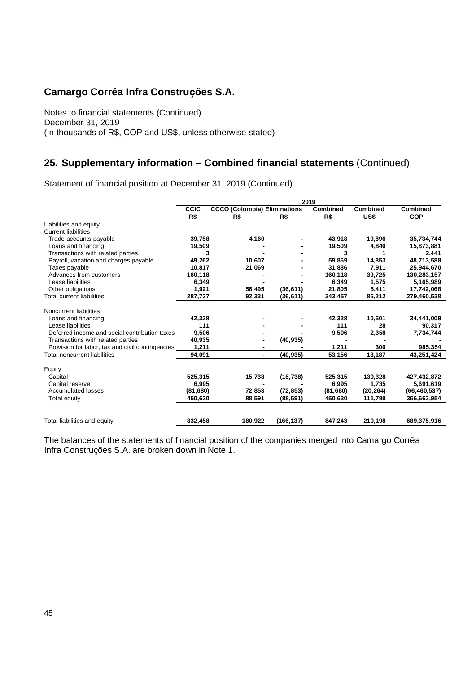Notes to financial statements (Continued) December 31, 2019 (In thousands of R\$, COP and US\$, unless otherwise stated)

## **25. Supplementary information – Combined financial statements** (Continued)

Statement of financial position at December 31, 2019 (Continued)

| 2019        |              |                                                                                                                                                                                                                        |                                                                                         |                                                                             |                                                                               |  |
|-------------|--------------|------------------------------------------------------------------------------------------------------------------------------------------------------------------------------------------------------------------------|-----------------------------------------------------------------------------------------|-----------------------------------------------------------------------------|-------------------------------------------------------------------------------|--|
| <b>CCIC</b> |              |                                                                                                                                                                                                                        | Combined                                                                                | <b>Combined</b>                                                             |                                                                               |  |
| R\$         | R\$          | R\$                                                                                                                                                                                                                    | R\$                                                                                     | US\$                                                                        | <b>COP</b>                                                                    |  |
|             |              |                                                                                                                                                                                                                        |                                                                                         |                                                                             |                                                                               |  |
|             |              |                                                                                                                                                                                                                        |                                                                                         |                                                                             |                                                                               |  |
|             | 4,160        |                                                                                                                                                                                                                        | 43,918                                                                                  | 10,896                                                                      | 35,734,744                                                                    |  |
|             |              |                                                                                                                                                                                                                        | 19,509                                                                                  | 4,840                                                                       | 15,873,881                                                                    |  |
|             |              |                                                                                                                                                                                                                        | 3                                                                                       |                                                                             | 2.441                                                                         |  |
|             | 10.607       |                                                                                                                                                                                                                        | 59.869                                                                                  | 14,853                                                                      | 48.713.588                                                                    |  |
|             |              |                                                                                                                                                                                                                        | 31,886                                                                                  | 7,911                                                                       | 25,944,670                                                                    |  |
|             |              |                                                                                                                                                                                                                        | 160,118                                                                                 | 39,725                                                                      | 130,283,157                                                                   |  |
|             |              |                                                                                                                                                                                                                        | 6.349                                                                                   | 1.575                                                                       | 5,165,989                                                                     |  |
|             | 56,495       | (36, 611)                                                                                                                                                                                                              | 21,805                                                                                  | 5,411                                                                       | 17,742,068                                                                    |  |
|             | 92,331       | (36, 611)                                                                                                                                                                                                              | 343,457                                                                                 | 85,212                                                                      | 279,460,538                                                                   |  |
|             |              |                                                                                                                                                                                                                        |                                                                                         |                                                                             |                                                                               |  |
|             |              |                                                                                                                                                                                                                        |                                                                                         |                                                                             | 34,441,009                                                                    |  |
|             |              |                                                                                                                                                                                                                        |                                                                                         |                                                                             | 90,317                                                                        |  |
|             |              |                                                                                                                                                                                                                        |                                                                                         |                                                                             | 7,734,744                                                                     |  |
|             |              |                                                                                                                                                                                                                        |                                                                                         |                                                                             |                                                                               |  |
|             |              |                                                                                                                                                                                                                        |                                                                                         | 300                                                                         | 985,354                                                                       |  |
|             | ٠            | (40, 935)                                                                                                                                                                                                              | 53,156                                                                                  | 13,187                                                                      | 43,251,424                                                                    |  |
|             |              |                                                                                                                                                                                                                        |                                                                                         |                                                                             |                                                                               |  |
|             |              |                                                                                                                                                                                                                        |                                                                                         |                                                                             | 427,432,872                                                                   |  |
|             |              |                                                                                                                                                                                                                        |                                                                                         |                                                                             | 5,691,619                                                                     |  |
|             |              |                                                                                                                                                                                                                        |                                                                                         |                                                                             | (66, 460, 537)                                                                |  |
|             |              |                                                                                                                                                                                                                        |                                                                                         |                                                                             | 366,663,954                                                                   |  |
|             |              |                                                                                                                                                                                                                        |                                                                                         |                                                                             |                                                                               |  |
|             | 180,922      | (166,137)                                                                                                                                                                                                              | 847,243                                                                                 | 210,198                                                                     | 689,375,916                                                                   |  |
|             | 111<br>1,211 | 39,758<br>19,509<br>3<br>49,262<br>10,817<br>21,069<br>160,118<br>6.349<br>1,921<br>287,737<br>42,328<br>9,506<br>40,935<br>94,091<br>525,315<br>15,738<br>6,995<br>(81,680)<br>72,853<br>450.630<br>88,591<br>832,458 | <b>CCCO (Colombia) Eliminations</b><br>(40, 935)<br>(15, 738)<br>(72, 853)<br>(88, 591) | 42,328<br>111<br>9,506<br>1,211<br>525,315<br>6,995<br>(81, 680)<br>450.630 | Combined<br>10.501<br>28<br>2,358<br>130,328<br>1,735<br>(20, 264)<br>111,799 |  |

The balances of the statements of financial position of the companies merged into Camargo Corrêa Infra Construções S.A. are broken down in Note 1.